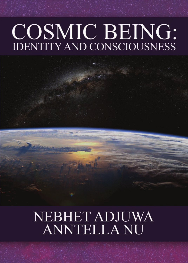# **COSMIC BEING: IDENTITY AND CONSCIOUSNESS**

**NEBHET ADJUWA ANNTELLA NU**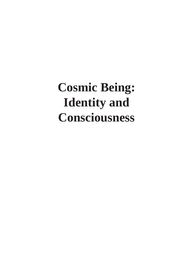## **Cosmic Being: Identity and Consciousness**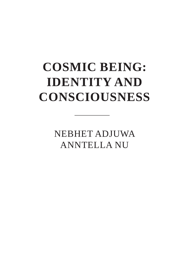## **COSMIC BEING: IDENTITY AND CONSCIOUSNESS**

**NEBHET ADJUWA ANNTELLA NU**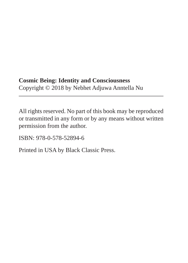#### **Cosmic Being: Identity and Consciousness** Copyright © 2018 by Nebhet Adjuwa Anntella Nu

All rights reserved. No part of this book may be reproduced or transmitted in any form or by any means without written permission from the author.

ISBN: 978-0-578-52894-6

Printed in USA by Black Classic Press.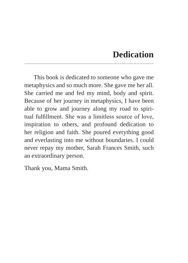## **Dedication**

This book is dedicated to someone who gave me metaphysics and so much more. She gave me her all. She carried me and fed my mind, body and spirit. Because of her journey in metaphysics, I have been able to grow and journey along my road to spiritual fulfillment. She was a limitless source of love, inspiration to others, and profound dedication to her religion and faith. She poured everything good and everlasting into me without boundaries. I could never repay my mother, Sarah Frances Smith, such an extraordinary person.

Thank you, Mama Smith.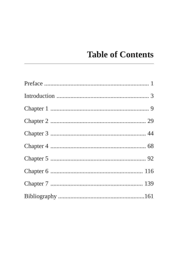## **Table of Contents**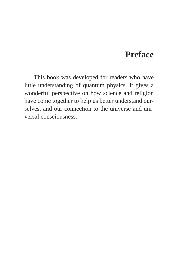## **Preface**

This book was developed for readers who have little understanding of quantum physics. It gives a wonderful perspective on how science and religion have come together to help us better understand ourselves, and our connection to the universe and universal consciousness.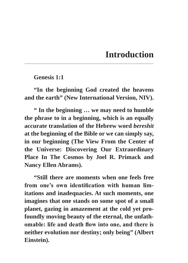## **Introduction**

**Genesis 1:1**

**"In the beginning God created the heavens and the earth" (New International Version, NIV).**

**" In the beginning … we may need to humble the phrase to in a beginning, which is an equally accurate translation of the Hebrew word** *bereshit* **at the beginning of the Bible or we can simply say, in our beginning (The View From the Center of the Universe: Discovering Our Extraordinary Place In The Cosmos by Joel R. Primack and Nancy Ellen Abrams).**

**"Still there are moments when one feels free from one's own identification with human limitations and inadequacies. At such moments, one imagines that one stands on some spot of a small planet, gazing in amazement at the cold yet profoundly moving beauty of the eternal, the unfathomable: life and death flow into one, and there is neither evolution nor destiny; only being" (Albert Einstein).**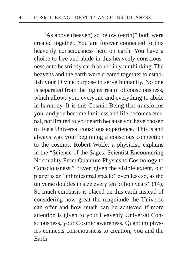"As above (heaven) so below (earth)" both were created together. You are forever connected to this heavenly consciousness here on earth. You have a choice to live and abide in this heavenly consciousness or to be strictly earth bound in your thinking. The heavens and the earth were created together to establish your Divine purpose to serve humanity. No one is separated from the higher realm of consciousness, which allows you, everyone and everything to abide in harmony. It is this Cosmic Being that transforms you, and you become limitless and life becomes eternal, not limited to your earth because you have chosen to live a Universal conscious experience. This is and always was your beginning a conscious connection to the cosmos. Robert Wolfe, a physicist, explains in the "Science of the Sages: Scientist Encountering Nonduality From Quantum Physics to Cosmology to Consciousness," "Even given the visible extent, our planet is an "infinitesimal speck;" even less so, as the universe doubles in size every ten billion years" (14). So much emphasis is placed on this earth instead of considering how great the magnitude the Universe can offer and how much can be achieved if more attention is given to your Heavenly Universal Consciousness, your Cosmic awareness. Quantum physics connects consciousness to creation, you and the Earth.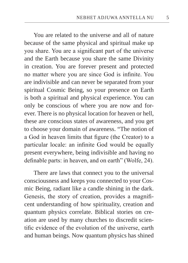You are related to the universe and all of nature because of the same physical and spiritual make up you share. You are a significant part of the universe and the Earth because you share the same Divinity in creation. You are forever present and protected no matter where you are since God is infinite. You are indivisible and can never be separated from your spiritual Cosmic Being, so your presence on Earth is both a spiritual and physical experience. You can only be conscious of where you are now and forever. There is no physical location for heaven or hell, these are conscious states of awareness, and you get to choose your domain of awareness. "The notion of a God in heaven limits that figure (the Creator) to a particular locale: an infinite God would be equally present everywhere, being indivisible and having no definable parts: in heaven, and on earth" (Wolfe, 24).

There are laws that connect you to the universal consciousness and keeps you connected to your Cosmic Being, radiant like a candle shining in the dark. Genesis, the story of creation, provides a magnificent understanding of how spirituality, creation and quantum physics correlate. Biblical stories on creation are used by many churches to discredit scientific evidence of the evolution of the universe, earth and human beings. Now quantum physics has shined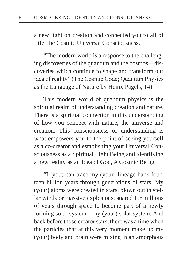a new light on creation and connected you to all of Life, the Cosmic Universal Consciousness.

"The modern world is a response to the challenging discoveries of the quantum and the cosmos—discoveries which continue to shape and transform our idea of reality" (The Cosmic Code; Quantum Physics as the Language of Nature by Heinx Pagels, 14).

This modern world of quantum physics is the spiritual realm of understanding creation and nature. There is a spiritual connection in this understanding of how you connect with nature, the universe and creation. This consciousness or understanding is what empowers you to the point of seeing yourself as a co-creator and establishing your Universal Consciousness as a Spiritual Light Being and identifying a new reality as an Idea of God, A Cosmic Being.

"I (you) can trace my (your) lineage back fourteen billion years through generations of stars. My (your) atoms were created in stars, blown out in stellar winds or massive explosions, soared for millions of years through space to become part of a newly forming solar system––my (your) solar system. And back before those creator stars, there was a time when the particles that at this very moment make up my (your) body and brain were mixing in an amorphous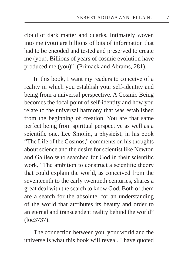cloud of dark matter and quarks. Intimately woven into me (you) are billions of bits of information that had to be encoded and tested and preserved to create me (you). Billions of years of cosmic evolution have produced me (you)" (Primack and Abrams, 281).

In this book, I want my readers to conceive of a reality in which you establish your self-identity and being from a universal perspective. A Cosmic Being becomes the focal point of self-identity and how you relate to the universal harmony that was established from the beginning of creation. You are that same perfect being from spiritual perspective as well as a scientific one. Lee Smolin, a physicist, in his book "The Life of the Cosmos," comments on his thoughts about science and the desire for scientist like Newton and Galileo who searched for God in their scientific work, "The ambition to construct a scientific theory that could explain the world, as conceived from the seventeenth to the early twentieth centuries, shares a great deal with the search to know God. Both of them are a search for the absolute, for an understanding of the world that attributes its beauty and order to an eternal and transcendent reality behind the world" (loc3737).

The connection between you, your world and the universe is what this book will reveal. I have quoted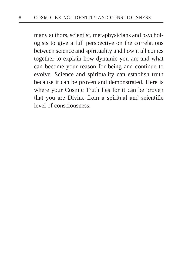many authors, scientist, metaphysicians and psychologists to give a full perspective on the correlations between science and spirituality and how it all comes together to explain how dynamic you are and what can become your reason for being and continue to evolve. Science and spirituality can establish truth because it can be proven and demonstrated. Here is where your Cosmic Truth lies for it can be proven that you are Divine from a spiritual and scientific level of consciousness.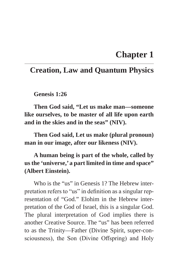## **Chapter 1**

### **Creation, Law and Quantum Physics**

**Genesis 1:26**

**Then God said, "Let us make man––someone like ourselves, to be master of all life upon earth and in the skies and in the seas" (NIV).**

**Then God said, Let us make (plural pronoun) man in our image, after our likeness (NIV).**

**A human being is part of the whole, called by us the 'universe,' a part limited in time and space" (Albert Einstein).** 

Who is the "us" in Genesis 1? The Hebrew interpretation refers to "us" in definition as a singular representation of "God." Elohim in the Hebrew interpretation of the God of Israel, this is a singular God. The plural interpretation of God implies there is another Creative Source. The "us" has been referred to as the Trinity—Father (Divine Spirit, super-consciousness), the Son (Divine Offspring) and Holy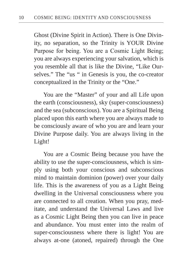Ghost (Divine Spirit in Action). There is One Divinity, no separation, so the Trinity is YOUR Divine Purpose for being. You are a Cosmic Light Being; you are always experiencing your salvation, which is you resemble all that is like the Divine, "Like Ourselves." The "us " in Genesis is you, the co-creator conceptualized in the Trinity or the "One."

You are the "Master" of your and all Life upon the earth (consciousness), sky (super-consciousness) and the sea (subconscious). You are a Spiritual Being placed upon this earth where you are always made to be consciously aware of who you are and learn your Divine Purpose daily. You are always living in the Light!

You are a Cosmic Being because you have the ability to use the super-consciousness, which is simply using both your conscious and subconscious mind to maintain dominion (power) over your daily life. This is the awareness of you as a Light Being dwelling in the Universal consciousness where you are connected to all creation. When you pray, meditate, and understand the Universal Laws and live as a Cosmic Light Being then you can live in peace and abundance. You must enter into the realm of super-consciousness where there is light! You are always at-one (atoned, repaired) through the One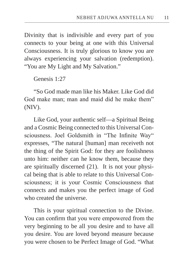Divinity that is indivisible and every part of you connects to your being at one with this Universal Consciousness. It is truly glorious to know you are always experiencing your salvation (redemption). "You are My Light and My Salvation."

Genesis 1:27

"So God made man like his Maker. Like God did God make man; man and maid did he make them" (NIV).

Like God, your authentic self—a Spiritual Being and a Cosmic Being connected to this Universal Consciousness. Joel Goldsmith in "The Infinite Way" expresses, "The natural [human] man receiveth not the thing of the Spirit God: for they are foolishness unto him: neither can he know them, because they are spiritually discerned (21). It is not your physical being that is able to relate to this Universal Consciousness; it is your Cosmic Consciousness that connects and makes you the perfect image of God who created the universe.

This is your spiritual connection to the Divine. You can confirm that you were empowered from the very beginning to be all you desire and to have all you desire. You are loved beyond measure because you were chosen to be Perfect Image of God. "What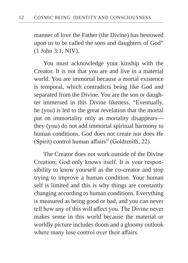manner of love the Father (the Divine) has bestowed upon us to be called the sons and daughters of God" (1 John 3:1, NIV).

You must acknowledge your kinship with the Creator. It is not that you are and live in a material world. You are immortal because a mortal existence is temporal, which contradicts being like God and separated from the Divine. You are the son or daughter immersed in this Divine likeness. "Eventually, he (you) is led to the great revelation that the mortal put on immortality only as mortality disappears they (you) do not add immortal spiritual harmony to human conditions. God does not create nor does He (Spirit) control human affairs" (Goldsmith, 22).

The Creator does not work outside of the Divine Creation; God only knows itself. It is your responsibility to know yourself as the co-creator and stop trying to improve a human condition. Your human self is limited and this is why things are constantly changing according to human conditions. Everything is measured as being good or bad, and you can never tell how any of this will affect you. The Divine never makes sense in this world because the material or worldly picture includes doom and a gloomy outlook where many lose control over their affairs.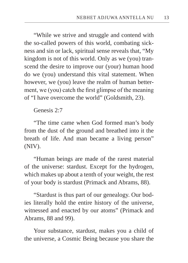"While we strive and struggle and contend with the so-called powers of this world, combating sickness and sin or lack, spiritual sense reveals that, "My kingdom is not of this world. Only as we (you) transcend the desire to improve our (your) human hood do we (you) understand this vital statement. When however, we (you) leave the realm of human betterment, we (you) catch the first glimpse of the meaning of "I have overcome the world" (Goldsmith, 23).

Genesis 2:7

"The time came when God formed man's body from the dust of the ground and breathed into it the breath of life. And man became a living person" (NIV).

"Human beings are made of the rarest material of the universe: stardust. Except for the hydrogen, which makes up about a tenth of your weight, the rest of your body is stardust (Primack and Abrams, 88).

"Stardust is thus part of our genealogy. Our bodies literally hold the entire history of the universe, witnessed and enacted by our atoms" (Primack and Abrams, 88 and 99).

Your substance, stardust, makes you a child of the universe, a Cosmic Being because you share the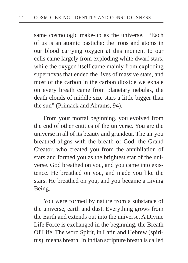same cosmologic make-up as the universe. "Each of us is an atomic pastiche: the irons and atoms in our blood carrying oxygen at this moment to our cells came largely from exploding white dwarf stars, while the oxygen itself came mainly from exploding supernovas that ended the lives of massive stars, and most of the carbon in the carbon dioxide we exhale on every breath came from planetary nebulas, the death clouds of middle size stars a little bigger than the sun" (Primack and Abrams, 94).

From your mortal beginning, you evolved from the end of other entities of the universe. You are the universe in all of its beauty and grandeur. The air you breathed aligns with the breath of God, the Grand Creator, who created you from the annihilation of stars and formed you as the brightest star of the universe. God breathed on you, and you came into existence. He breathed on you, and made you like the stars. He breathed on you, and you became a Living Being.

You were formed by nature from a substance of the universe, earth and dust. Everything grows from the Earth and extends out into the universe. A Divine Life Force is exchanged in the beginning, the Breath Of Life. The word Spirit, in Latin and Hebrew (spiritus), means breath. In Indian scripture breath is called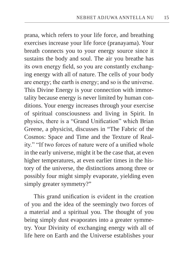prana, which refers to your life force, and breathing exercises increase your life force (pranayama). Your breath connects you to your energy source since it sustains the body and soul. The air you breathe has its own energy field, so you are constantly exchanging energy with all of nature. The cells of your body are energy; the earth is energy; and so is the universe. This Divine Energy is your connection with immortality because energy is never limited by human conditions. Your energy increases through your exercise of spiritual consciousness and living in Spirit. In physics, there is a "Grand Unification" which Brian Greene, a physicist, discusses in "The Fabric of the Cosmos: Space and Time and the Texture of Reality." "If two forces of nature were of a unified whole in the early universe, might it be the case that, at even higher temperatures, at even earlier times in the history of the universe, the distinctions among three or possibly four might simply evaporate, yielding even simply greater symmetry?"

This grand unification is evident in the creation of you and the idea of the seemingly two forces of a material and a spiritual you. The thought of you being simply dust evaporates into a greater symmetry. Your Divinity of exchanging energy with all of life here on Earth and the Universe establishes your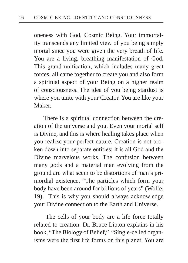oneness with God, Cosmic Being. Your immortality transcends any limited view of you being simply mortal since you were given the very breath of life. You are a living, breathing manifestation of God. This grand unification, which includes many great forces, all came together to create you and also form a spiritual aspect of your Being on a higher realm of consciousness. The idea of you being stardust is where you unite with your Creator. You are like your Maker.

There is a spiritual connection between the creation of the universe and you. Even your mortal self is Divine, and this is where healing takes place when you realize your perfect nature. Creation is not broken down into separate entities; it is all God and the Divine marvelous works. The confusion between many gods and a material man evolving from the ground are what seem to be distortions of man's primordial existence. "The particles which form your body have been around for billions of years" (Wolfe, 19). This is why you should always acknowledge your Divine connection to the Earth and Universe.

 The cells of your body are a life force totally related to creation. Dr. Bruce Lipton explains in his book, "The Biology of Belief," "Single-celled organisms were the first life forms on this planet. You are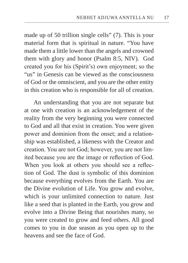made up of 50 trillion single cells" (7). This is your material form that is spiritual in nature. "You have made them a little lower than the angels and crowned them with glory and honor (Psalm 8:5, NIV). God created you for his (Spirit's) own enjoyment; so the "us" in Genesis can be viewed as the consciousness of God or the omniscient, and you are the other entity in this creation who is responsible for all of creation.

An understanding that you are not separate but at one with creation is an acknowledgement of the reality from the very beginning you were connected to God and all that exist in creation. You were given power and dominion from the onset; and a relationship was established, a likeness with the Creator and creation. You are not God; however, you are not limited because you are the image or reflection of God. When you look at others you should see a reflection of God. The dust is symbolic of this dominion because everything evolves from the Earth. You are the Divine evolution of Life. You grow and evolve, which is your unlimited connection to nature. Just like a seed that is planted in the Earth, you grow and evolve into a Divine Being that nourishes many, so you were created to grow and feed others. All good comes to you in due season as you open up to the heavens and see the face of God.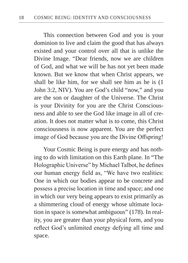This connection between God and you is your dominion to live and claim the good that has always existed and your control over all that is unlike the Divine Image. "Dear friends, now we are children of God, and what we will be has not yet been made known. But we know that when Christ appears, we shall be like him, for we shall see him as he is (1 John 3:2, NIV). You are God's child "now," and you are the son or daughter of the Universe. The Christ is your Divinity for you are the Christ Consciousness and able to see the God like image in all of creation. It does not matter what is to come, this Christ consciousness is now apparent. You are the perfect image of God because you are the Divine Offspring!

Your Cosmic Being is pure energy and has nothing to do with limitation on this Earth plane. In "The Holographic Universe" by Michael Talbot, he defines our human energy field as, "We have two realities: One in which our bodies appear to be concrete and possess a precise location in time and space; and one in which our very being appears to exist primarily as a shimmering cloud of energy whose ultimate location in space is somewhat ambiguous" (178). In reality, you are greater than your physical form, and you reflect God's unlimited energy defying all time and space.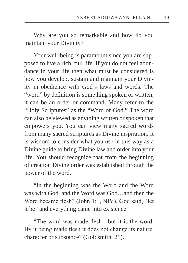Why are you so remarkable and how do you maintain your Divinity?

Your well-being is paramount since you are supposed to live a rich, full life. If you do not feel abundance in your life then what must be considered is how you develop, sustain and maintain your Divinity in obedience with God's laws and words. The "word" by definition is something spoken or written, it can be an order or command. Many refer to the "Holy Scriptures" as the "Word of God." The word can also be viewed as anything written or spoken that empowers you. You can view many sacred words from many sacred scriptures as Divine inspiration. It is wisdom to consider what you use in this way as a Divine guide to bring Divine law and order into your life. You should recognize that from the beginning of creation Divine order was established through the power of the word.

"In the beginning was the Word and the Word was with God, and the Word was God…and then the Word became flesh" (John 1:1, NIV). God said, "let it be" and everything came into existence.

"The word was made flesh—but it is the word. By it being made flesh it does not change its nature, character or substance" (Goldsmith, 21).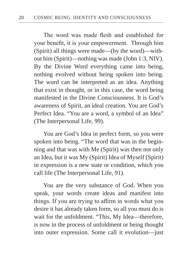The word was made flesh and established for your benefit, it is your empowerment. Through him (Spirit) all things were made—(by the word)—without him (Spirit)—nothing was made (John 1:3, NIV). By the Divine Word everything came into being, nothing evolved without being spoken into being. The word can be interpreted as an idea. Anything that exist in thought, or in this case, the word being manifested in the Divine Consciousness. It is God's awareness of Spirit, an ideal creation. You are God's Perfect Idea. "You are a word, a symbol of an Idea" (The Interpersonal Life, 99).

You are God's Idea in perfect form, so you were spoken into being. "The word that was in the beginning and that was with Me (Spirit) was then not only an Idea, but it was My (Spirit) Idea of Myself (Spirit) in expression is a new state or condition, which you call life (The Interpersonal Life, 91).

You are the very substance of God. When you speak, your words create ideas and manifest into things. If you are trying to affirm in words what you desire it has already taken form, so all you must do is wait for the unfoldment. "This, My Idea—therefore, is now in the process of unfoldment or being thought into outer expression. Some call it evolution—just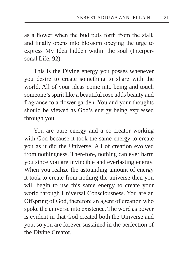as a flower when the bud puts forth from the stalk and finally opens into blossom obeying the urge to express My Idea hidden within the soul (Interpersonal Life, 92).

This is the Divine energy you posses whenever you desire to create something to share with the world. All of your ideas come into being and touch someone's spirit like a beautiful rose adds beauty and fragrance to a flower garden. You and your thoughts should be viewed as God's energy being expressed through you.

You are pure energy and a co-creator working with God because it took the same energy to create you as it did the Universe. All of creation evolved from nothingness. Therefore, nothing can ever harm you since you are invincible and everlasting energy. When you realize the astounding amount of energy it took to create from nothing the universe then you will begin to use this same energy to create your world through Universal Consciousness. You are an Offspring of God, therefore an agent of creation who spoke the universe into existence. The word as power is evident in that God created both the Universe and you, so you are forever sustained in the perfection of the Divine Creator.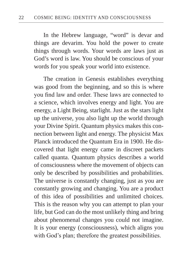In the Hebrew language, "word" is devar and things are devarim. You hold the power to create things through words. Your words are laws just as God's word is law. You should be conscious of your words for you speak your world into existence.

The creation in Genesis establishes everything was good from the beginning, and so this is where you find law and order. These laws are connected to a science, which involves energy and light. You are energy, a Light Being, starlight. Just as the stars light up the universe, you also light up the world through your Divine Spirit. Quantum physics makes this connection between light and energy. The physicist Max Planck introduced the Quantum Era in 1900. He discovered that light energy came in discreet packets called quanta. Quantum physics describes a world of consciousness where the movement of objects can only be described by possibilities and probabilities. The universe is constantly changing, just as you are constantly growing and changing. You are a product of this idea of possibilities and unlimited choices. This is the reason why you can attempt to plan your life, but God can do the most unlikely thing and bring about phenomenal changes you could not imagine. It is your energy (consciousness), which aligns you with God's plan; therefore the greatest possibilities.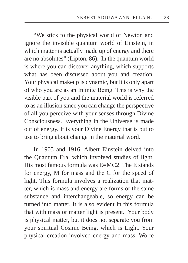"We stick to the physical world of Newton and ignore the invisible quantum world of Einstein, in which matter is actually made up of energy and there are no absolutes" (Lipton, 86). In the quantum world is where you can discover anything, which supports what has been discussed about you and creation. Your physical makeup is dynamic, but it is only apart of who you are as an Infinite Being. This is why the visible part of you and the material world is referred to as an illusion since you can change the perspective of all you perceive with your senses through Divine Consciousness. Everything in the Universe is made out of energy. It is your Divine Energy that is put to use to bring about change in the material word.

In 1905 and 1916, Albert Einstein delved into the Quantum Era, which involved studies of light. His most famous formula was E=MC2. The E stands for energy, M for mass and the C for the speed of light. This formula involves a realization that matter, which is mass and energy are forms of the same substance and interchangeable, so energy can be turned into matter. It is also evident in this formula that with mass or matter light is present. Your body is physical matter, but it does not separate you from your spiritual Cosmic Being, which is Light. Your physical creation involved energy and mass. Wolfe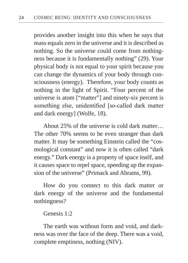provides another insight into this when he says that mass equals zero in the universe and it is described as nothing. So the universe could come from nothingness because it is fundamentally nothing" (29). Your physical body is not equal to your spirit because you can change the dynamics of your body through consciousness (energy). Therefore, your body counts as nothing in the light of Spirit. "Four percent of the universe is atom ["matter"] and ninety-six percent is something else, unidentified [so-called dark matter and dark energy] (Wolfe, 18).

About 25% of the universe is cold dark matter… The other 70% seems to be even stranger than dark matter. It may be something Einstein called the "cosmological constant" and now it is often called "dark energy." Dark energy is a property of space itself, and it causes space to repel space, speeding up the expansion of the universe" (Primack and Abrams, 99).

How do you connect to this dark matter or dark energy of the universe and the fundamental nothingness?

Genesis 1:2

The earth was without form and void, and darkness was over the face of the deep. There was a void, complete emptiness, nothing (NIV).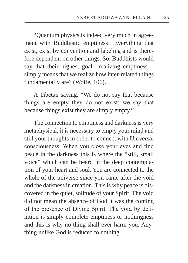"Quantum physics is indeed very much in agreement with Buddhistic emptiness…Everything that exist, exist by convention and labeling and is therefore dependent on other things. So, Buddhists would say that their highest goal—realizing emptiness simply means that we realize how inter-related things fundamentally are" (Wolfe, 106).

A Tibetan saying, "We do not say that because things are empty they do not exist; we say that because things exist they are simply empty."

The connection to emptiness and darkness is very metaphysical; it is necessary to empty your mind and still your thoughts in order to connect with Universal consciousness. When you close your eyes and find peace in the darkness this is where the "still, small voice" which can be heard in the deep contemplation of your heart and soul. You are connected to the whole of the universe since you came after the void and the darkness in creation. This is why peace is discovered in the quiet, solitude of your Spirit. The void did not mean the absence of God it was the coming of the presence of Divine Spirit. The void by definition is simply complete emptiness or nothingness and this is why no-thing shall ever harm you. Anything unlike God is reduced to nothing.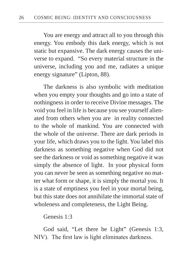You are energy and attract all to you through this energy. You embody this dark energy, which is not static but expansive. The dark energy causes the universe to expand. "So every material structure in the universe, including you and me, radiates a unique energy signature" (Lipton, 88).

The darkness is also symbolic with meditation when you empty your thoughts and go into a state of nothingness in order to receive Divine messages. The void you feel in life is because you see yourself alienated from others when you are in reality connected to the whole of mankind. You are connected with the whole of the universe. There are dark periods in your life, which draws you to the light. You label this darkness as something negative when God did not see the darkness or void as something negative it was simply the absence of light. In your physical form you can never be seen as something negative no matter what form or shape, it is simply the mortal you. It is a state of emptiness you feel in your mortal being, but this state does not annihilate the immortal state of wholeness and completeness, the Light Being.

Genesis 1:3

God said, "Let there be Light" (Genesis 1:3, NIV). The first law is light eliminates darkness.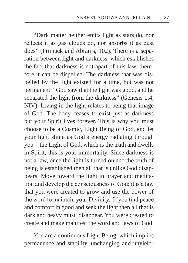"Dark matter neither emits light as stars do, nor reflects it as gas clouds do, nor absorbs it as dust does" (Primack and Abrams, 102). There is a separation between light and darkness, which establishes the fact that darkness is not apart of this law, therefore it can be dispelled. The darkness that was dispelled by the light existed for a time, but was not permanent. "God saw that the light was good, and he separated the light from the darkness" (Genesis 1:4, NIV). Living in the light relates to being that image of God. The body ceases to exist just as darkness but your Spirit lives forever. This is why you must choose to be a Cosmic, Light Being of God, and let your light shine as God's energy radiating through you—the Light of God, which is the truth and dwells in Spirit, this is your immortality. Since darkness is not a law, once the light is turned on and the truth of being is established then all that is unlike God disappears. Move toward the light in prayer and meditation and develop the consciousness of God; it is a law that you were created to grow and use the power of the word to maintain your Divinity. If you find peace and comfort in good and seek the light then all that is dark and heavy must disappear. You were created to create and make manifest the word and laws of God.

You are a continuous Light Being, which implies permanence and stability, unchanging and unyield-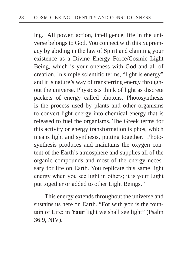ing. All power, action, intelligence, life in the universe belongs to God. You connect with this Supremacy by abiding in the law of Spirit and claiming your existence as a Divine Energy Force/Cosmic Light Being, which is your oneness with God and all of creation. In simple scientific terms, "light is energy" and it is nature's way of transferring energy throughout the universe. Physicists think of light as discrete packets of energy called photons. Photosynthesis is the process used by plants and other organisms to convert light energy into chemical energy that is released to fuel the organisms. The Greek terms for this activity or energy transformation is phos, which means light and synthesis, putting together. Photosynthesis produces and maintains the oxygen content of the Earth's atmosphere and supplies all of the organic compounds and most of the energy necessary for life on Earth. You replicate this same light energy when you see light in others; it is your Light put together or added to other Light Beings."

 This energy extends throughout the universe and sustains us here on Earth. "For with you is the fountain of Life; in **Your** light we shall see light" (Psalm 36:9, NIV).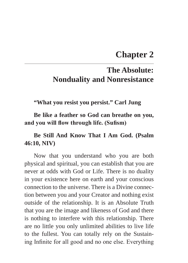# **Chapter 2**

# **The Absolute: Nonduality and Nonresistance**

**"What you resist you persist." Carl Jung**

**Be like a feather so God can breathe on you, and you will flow through life. (Sufism)**

### **Be Still And Know That I Am God. (Psalm 46:10, NIV)**

Now that you understand who you are both physical and spiritual, you can establish that you are never at odds with God or Life. There is no duality in your existence here on earth and your conscious connection to the universe. There is a Divine connection between you and your Creator and nothing exist outside of the relationship. It is an Absolute Truth that you are the image and likeness of God and there is nothing to interfere with this relationship. There are no little you only unlimited abilities to live life to the fullest. You can totally rely on the Sustaining Infinite for all good and no one else. Everything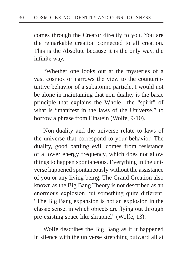comes through the Creator directly to you. You are the remarkable creation connected to all creation. This is the Absolute because it is the only way, the infinite way.

"Whether one looks out at the mysteries of a vast cosmos or narrows the view to the counterintuitive behavior of a subatomic particle, I would not be alone in maintaining that non-duality is the basic principle that explains the Whole—the "spirit" of what is "manifest in the laws of the Universe," to borrow a phrase from Einstein (Wolfe, 9-10).

Non-duality and the universe relate to laws of the universe that correspond to your behavior. The duality, good battling evil, comes from resistance of a lower energy frequency, which does not allow things to happen spontaneous. Everything in the universe happened spontaneously without the assistance of you or any living being. The Grand Creation also known as the Big Bang Theory is not described as an enormous explosion but something quite different. "The Big Bang expansion is not an explosion in the classic sense, in which objects are flying out through pre-existing space like shrapnel" (Wolfe, 13).

Wolfe describes the Big Bang as if it happened in silence with the universe stretching outward all at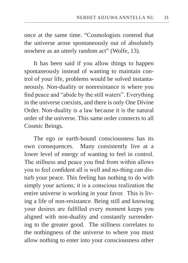once at the same time. "Cosmologists contend that the universe arose spontaneously out of absolutely nowhere as an utterly random act" (Wolfe, 13).

It has been said if you allow things to happen spontaneously instead of wanting to maintain control of your life, problems would be solved instantaneously. Non-duality or nonresistance is where you find peace and "abide by the still waters". Everything in the universe coexists, and there is only One Divine Order. Non-duality is a law because it is the natural order of the universe. This same order connects to all Cosmic Beings.

The ego or earth-bound consciousness has its own consequences. Many consistently live at a lower level of energy of wanting to feel in control. The stillness and peace you find from within allows you to feel confident all is well and no-thing can disturb your peace. This feeling has nothing to do with simply your actions; it is a conscious realization the entire universe is working in your favor. This is living a life of non-resistance. Being still and knowing your desires are fulfilled every moment keeps you aligned with non-duality and constantly surrendering to the greater good. The stillness correlates to the nothingness of the universe to where you must allow nothing to enter into your consciousness other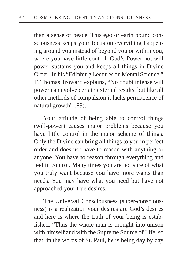than a sense of peace. This ego or earth bound consciousness keeps your focus on everything happening around you instead of beyond you or within you, where you have little control. God's Power not will power sustains you and keeps all things in Divine Order. In his "Edinburg Lectures on Mental Science," T. Thomas Troward explains, "No doubt intense will power can evolve certain external results, but like all other methods of compulsion it lacks permanence of natural growth" (83).

Your attitude of being able to control things (will-power) causes major problems because you have little control in the major scheme of things. Only the Divine can bring all things to you in perfect order and does not have to reason with anything or anyone. You have to reason through everything and feel in control. Many times you are not sure of what you truly want because you have more wants than needs. You may have what you need but have not approached your true desires.

The Universal Consciousness (super-consciousness) is a realization your desires are God's desires and here is where the truth of your being is established. "Thus the whole man is brought into unison with himself and with the Supreme Source of Life, so that, in the words of St. Paul, he is being day by day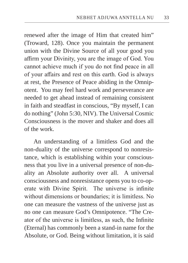renewed after the image of Him that created him" (Troward, 128). Once you maintain the permanent union with the Divine Source of all your good you affirm your Divinity, you are the image of God. You cannot achieve much if you do not find peace in all of your affairs and rest on this earth. God is always at rest, the Presence of Peace abiding in the Omnipotent. You may feel hard work and perseverance are needed to get ahead instead of remaining consistent in faith and steadfast in conscious, "By myself, I can do nothing" (John 5:30, NIV). The Universal Cosmic Consciousness is the mover and shaker and does all of the work.

An understanding of a limitless God and the non-duality of the universe correspond to nonresistance, which is establishing within your consciousness that you live in a universal presence of non-duality an Absolute authority over all. A universal consciousness and nonresistance opens you to co-operate with Divine Spirit. The universe is infinite without dimensions or boundaries; it is limitless. No one can measure the vastness of the universe just as no one can measure God's Omnipotence. "The Creator of the universe is limitless, as such, the Infinite (Eternal) has commonly been a stand-in name for the Absolute, or God. Being without limitation, it is said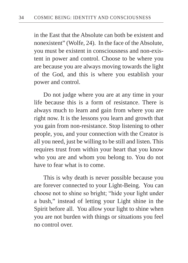in the East that the Absolute can both be existent and nonexistent" (Wolfe, 24). In the face of the Absolute, you must be existent in consciousness and non-existent in power and control. Choose to be where you are because you are always moving towards the light of the God, and this is where you establish your power and control.

Do not judge where you are at any time in your life because this is a form of resistance. There is always much to learn and gain from where you are right now. It is the lessons you learn and growth that you gain from non-resistance. Stop listening to other people, you, and your connection with the Creator is all you need, just be willing to be still and listen. This requires trust from within your heart that you know who you are and whom you belong to. You do not have to fear what is to come.

This is why death is never possible because you are forever connected to your Light-Being. You can choose not to shine so bright; "hide your light under a bush," instead of letting your Light shine in the Spirit before all. You allow your light to shine when you are not burden with things or situations you feel no control over.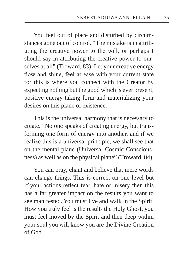You feel out of place and disturbed by circumstances gone out of control. "The mistake is in attributing the creative power to the will, or perhaps I should say in attributing the creative power to ourselves at all" (Troward, 83). Let your creative energy flow and shine, feel at ease with your current state for this is where you connect with the Creator by expecting nothing but the good which is ever present, positive energy taking form and materializing your desires on this plane of existence.

This is the universal harmony that is necessary to create." No one speaks of creating energy, but transforming one form of energy into another, and if we realize this is a universal principle, we shall see that on the mental plane (Universal Cosmic Consciousness) as well as on the physical plane" (Troward, 84).

You can pray, chant and believe that mere words can change things. This is correct on one level but if your actions reflect fear, hate or misery then this has a far greater impact on the results you want to see manifested. You must live and walk in the Spirit. How you truly feel is the result- the Holy Ghost, you must feel moved by the Spirit and then deep within your soul you will know you are the Divine Creation of God.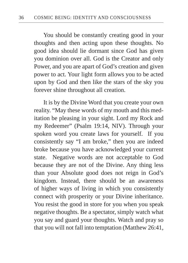You should be constantly creating good in your thoughts and then acting upon these thoughts. No good idea should lie dormant since God has given you dominion over all. God is the Creator and only Power, and you are apart of God's creation and given power to act. Your light form allows you to be acted upon by God and then like the stars of the sky you forever shine throughout all creation.

It is by the Divine Word that you create your own reality. "May these words of my mouth and this meditation be pleasing in your sight. Lord my Rock and my Redeemer" (Psalm 19:14, NIV). Through your spoken word you create laws for yourself. If you consistently say "I am broke," then you are indeed broke because you have acknowledged your current state. Negative words are not acceptable to God because they are not of the Divine. Any thing less than your Absolute good does not reign in God's kingdom. Instead, there should be an awareness of higher ways of living in which you consistently connect with prosperity or your Divine inheritance. You resist the good in store for you when you speak negative thoughts. Be a spectator, simply watch what you say and guard your thoughts. Watch and pray so that you will not fall into temptation (Matthew 26:41,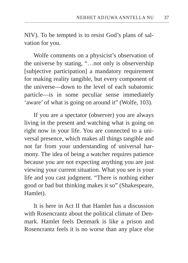NIV). To be tempted is to resist God's plans of salvation for you.

Wolfe comments on a physicist's observation of the universe by stating, "…not only is observership [subjective participation] a mandatory requirement for making reality tangible, but every component of the universe—down to the level of each subatomic particle—is in some peculiar sense immediately 'aware' of what is going on around it" (Wolfe, 103).

If you are a spectator (observer) you are always living in the present and watching what is going on right now in your life. You are connected to a universal presence, which makes all things tangible and not far from your understanding of universal harmony. The idea of being a watcher requires patience because you are not expecting anything you are just viewing your current situation. What you see is your life and you cast judgment. "There is nothing either good or bad but thinking makes it so" (Shakespeare, Hamlet).

It is here in Act II that Hamlet has a discussion with Rosencrantz about the political climate of Denmark. Hamlet feels Denmark is like a prison and Rosencrantz feels it is no worse than any place else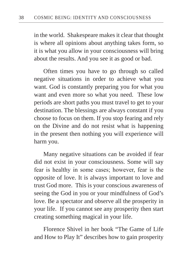in the world. Shakespeare makes it clear that thought is where all opinions about anything takes form, so it is what you allow in your consciousness will bring about the results. And you see it as good or bad.

Often times you have to go through so called negative situations in order to achieve what you want. God is constantly preparing you for what you want and even more so what you need. These low periods are short paths you must travel to get to your destination. The blessings are always constant if you choose to focus on them. If you stop fearing and rely on the Divine and do not resist what is happening in the present then nothing you will experience will harm you.

Many negative situations can be avoided if fear did not exist in your consciousness. Some will say fear is healthy in some cases; however, fear is the opposite of love. It is always important to love and trust God more. This is your conscious awareness of seeing the God in you or your mindfulness of God's love. Be a spectator and observe all the prosperity in your life. If you cannot see any prosperity then start creating something magical in your life.

Florence Shivel in her book "The Game of Life and How to Play It" describes how to gain prosperity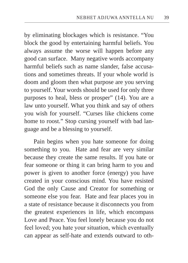by eliminating blockages which is resistance. "You block the good by entertaining harmful beliefs. You always assume the worse will happen before any good can surface. Many negative words accompany harmful beliefs such as name slander, false accusations and sometimes threats. If your whole world is doom and gloom then what purpose are you serving to yourself. Your words should be used for only three purposes to heal, bless or prosper" (14). You are a law unto yourself. What you think and say of others you wish for yourself. "Curses like chickens come home to roost." Stop cursing yourself with bad language and be a blessing to yourself.

Pain begins when you hate someone for doing something to you. Hate and fear are very similar because they create the same results. If you hate or fear someone or thing it can bring harm to you and power is given to another force (energy) you have created in your conscious mind. You have resisted God the only Cause and Creator for something or someone else you fear. Hate and fear places you in a state of resistance because it disconnects you from the greatest experiences in life, which encompass Love and Peace. You feel lonely because you do not feel loved; you hate your situation, which eventually can appear as self-hate and extends outward to oth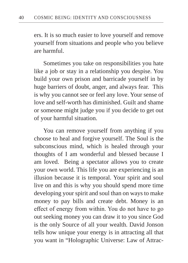ers. It is so much easier to love yourself and remove yourself from situations and people who you believe are harmful.

Sometimes you take on responsibilities you hate like a job or stay in a relationship you despise. You build your own prison and barricade yourself in by huge barriers of doubt, anger, and always fear. This is why you cannot see or feel any love. Your sense of love and self-worth has diminished. Guilt and shame or someone might judge you if you decide to get out of your harmful situation.

You can remove yourself from anything if you choose to heal and forgive yourself. The Soul is the subconscious mind, which is healed through your thoughts of I am wonderful and blessed because I am loved. Being a spectator allows you to create your own world. This life you are experiencing is an illusion because it is temporal. Your spirit and soul live on and this is why you should spend more time developing your spirit and soul than on ways to make money to pay bills and create debt. Money is an effect of energy from within. You do not have to go out seeking money you can draw it to you since God is the only Source of all your wealth. David Jonson tells how unique your energy is in attracting all that you want in "Holographic Universe: Law of Attrac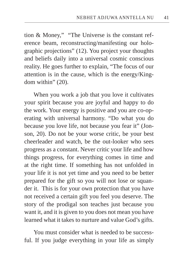tion & Money," "The Universe is the constant reference beam, reconstructing/manifesting our holographic projections" (12). You project your thoughts and beliefs daily into a universal cosmic conscious reality. He goes further to explain, "The focus of our attention is in the cause, which is the energy/Kingdom within" (20).

When you work a job that you love it cultivates your spirit because you are joyful and happy to do the work. Your energy is positive and you are co-operating with universal harmony. "Do what you do because you love life, not because you fear it" (Jonson, 20). Do not be your worse critic, be your best cheerleader and watch, be the out-looker who sees progress as a constant. Never critic your life and how things progress, for everything comes in time and at the right time. If something has not unfolded in your life it is not yet time and you need to be better prepared for the gift so you will not lose or squander it. This is for your own protection that you have not received a certain gift you feel you deserve. The story of the prodigal son teaches just because you want it, and it is given to you does not mean you have learned what it takes to nurture and value God's gifts.

You must consider what is needed to be successful. If you judge everything in your life as simply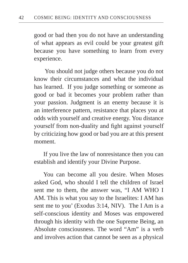good or bad then you do not have an understanding of what appears as evil could be your greatest gift because you have something to learn from every experience.

 You should not judge others because you do not know their circumstances and what the individual has learned. If you judge something or someone as good or bad it becomes your problem rather than your passion. Judgment is an enemy because it is an interference pattern, resistance that places you at odds with yourself and creative energy. You distance yourself from non-duality and fight against yourself by criticizing how good or bad you are at this present moment.

If you live the law of nonresistance then you can establish and identify your Divine Purpose.

You can become all you desire. When Moses asked God, who should I tell the children of Israel sent me to them, the answer was, "I AM WHO I AM. This is what you say to the Israelites: I AM has sent me to you' (Exodus 3:14, NIV). The I Am is a self-conscious identity and Moses was empowered through his identity with the one Supreme Being, an Absolute consciousness. The word "Am" is a verb and involves action that cannot be seen as a physical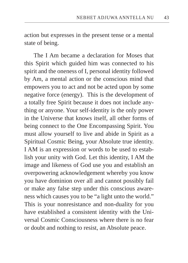action but expresses in the present tense or a mental state of being.

The I Am became a declaration for Moses that this Spirit which guided him was connected to his spirit and the oneness of I, personal identity followed by Am, a mental action or the conscious mind that empowers you to act and not be acted upon by some negative force (energy). This is the development of a totally free Spirit because it does not include anything or anyone. Your self-identity is the only power in the Universe that knows itself, all other forms of being connect to the One Encompassing Spirit. You must allow yourself to live and abide in Spirit as a Spiritual Cosmic Being, your Absolute true identity. I AM is an expression or words to be used to establish your unity with God. Let this identity, I AM the image and likeness of God use you and establish an overpowering acknowledgement whereby you know you have dominion over all and cannot possibly fail or make any false step under this conscious awareness which causes you to be "a light unto the world." This is your nonresistance and non-duality for you have established a consistent identity with the Universal Cosmic Consciousness where there is no fear or doubt and nothing to resist, an Absolute peace.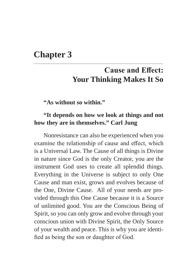### **Chapter 3**

# **Cause and Effect: Your Thinking Makes It So**

**"As without so within."**

#### **"It depends on how we look at things and not how they are in themselves." Carl Jung**

Nonresistance can also be experienced when you examine the relationship of cause and effect, which is a Universal Law. The Cause of all things is Divine in nature since God is the only Creator, you are the instrument God uses to create all splendid things. Everything in the Universe is subject to only One Cause and man exist, grows and evolves because of the One, Divine Cause. All of your needs are provided through this One Cause because it is a Source of unlimited good. You are the Conscious Being of Spirit, so you can only grow and evolve through your conscious union with Divine Spirit, the Only Source of your wealth and peace. This is why you are identified as being the son or daughter of God.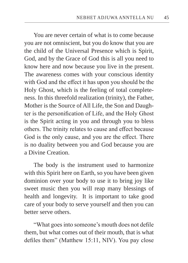You are never certain of what is to come because you are not omniscient, but you do know that you are the child of the Universal Presence which is Spirit, God, and by the Grace of God this is all you need to know here and now because you live in the present. The awareness comes with your conscious identity with God and the effect it has upon you should be the Holy Ghost, which is the feeling of total completeness. In this threefold realization (trinity), the Father, Mother is the Source of All Life, the Son and Daughter is the personification of Life, and the Holy Ghost is the Spirit acting in you and through you to bless others. The trinity relates to cause and effect because God is the only cause, and you are the effect. There is no duality between you and God because you are a Divine Creation.

The body is the instrument used to harmonize with this Spirit here on Earth, so you have been given dominion over your body to use it to bring joy like sweet music then you will reap many blessings of health and longevity. It is important to take good care of your body to serve yourself and then you can better serve others.

"What goes into someone's mouth does not defile them, but what comes out of their mouth, that is what defiles them" (Matthew 15:11, NIV). You pay close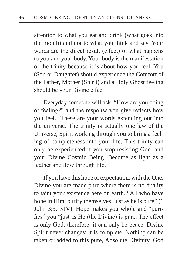attention to what you eat and drink (what goes into the mouth) and not to what you think and say. Your words are the direct result (effect) of what happens to you and your body. Your body is the manifestation of the trinity because it is about how you feel. You (Son or Daughter) should experience the Comfort of the Father, Mother (Spirit) and a Holy Ghost feeling should be your Divine effect.

Everyday someone will ask, "How are you doing or feeling?" and the response you give reflects how you feel. These are your words extending out into the universe. The trinity is actually one law of the Universe, Spirit working through you to bring a feeling of completeness into your life. This trinity can only be experienced if you stop resisting God, and your Divine Cosmic Being. Become as light as a feather and flow through life.

If you have this hope or expectation, with the One, Divine you are made pure where there is no duality to taint your existence here on earth. "All who have hope in Him, purify themselves, just as he is pure" (1) John 3:3, NIV). Hope makes you whole and "purifies" you "just as He (the Divine) is pure. The effect is only God, therefore; it can only be peace. Divine Spirit never changes; it is complete. Nothing can be taken or added to this pure, Absolute Divinity. God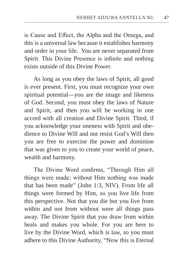is Cause and Effect, the Alpha and the Omega, and this is a universal law because it establishes harmony and order in your life. You are never separated from Spirit. This Divine Presence is infinite and nothing exists outside of this Divine Power.

As long as you obey the laws of Spirit, all good is ever present. First, you must recognize your own spiritual potential—you are the image and likeness of God. Second, you must obey the laws of Nature and Spirit, and then you will be working in one accord with all creation and Divine Spirit. Third, if you acknowledge your oneness with Spirit and obedience to Divine Will and not resist God's Will then you are free to exercise the power and dominion that was given to you to create your world of peace, wealth and harmony.

The Divine Word confirms, "Through Him all things were made; without Him nothing was made that has been made" (John 1:3, NIV). From life all things were formed by Him, so you live life from this perspective. Not that you die but you live from within and not from without were all things pass away. The Divine Spirit that you draw from within heals and makes you whole. For you are here to live by the Divine Word, which is law, so you must adhere to this Divine Authority, "Now this is Eternal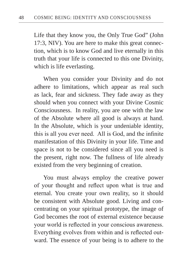Life that they know you, the Only True God" (John 17:3, NIV). You are here to make this great connection, which is to know God and live eternally in this truth that your life is connected to this one Divinity, which is life everlasting.

When you consider your Divinity and do not adhere to limitations, which appear as real such as lack, fear and sickness. They fade away as they should when you connect with your Divine Cosmic Consciousness. In reality, you are one with the law of the Absolute where all good is always at hand. In the Absolute, which is your undeniable identity, this is all you ever need. All is God, and the infinite manifestation of this Divinity in your life. Time and space is not to be considered since all you need is the present, right now. The fullness of life already existed from the very beginning of creation.

You must always employ the creative power of your thought and reflect upon what is true and eternal. You create your own reality, so it should be consistent with Absolute good. Living and concentrating on your spiritual prototype, the image of God becomes the root of external existence because your world is reflected in your conscious awareness. Everything evolves from within and is reflected outward. The essence of your being is to adhere to the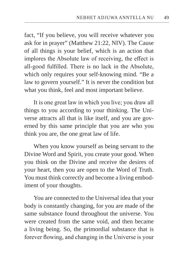fact, "If you believe, you will receive whatever you ask for in prayer" (Matthew 21:22, NIV). The Cause of all things is your belief, which is an action that implores the Absolute law of receiving, the effect is all-good fulfilled. There is no lack in the Absolute, which only requires your self-knowing mind. "Be a law to govern yourself." It is never the condition but what you think, feel and most important believe.

It is one great law in which you live; you draw all things to you according to your thinking. The Universe attracts all that is like itself, and you are governed by this same principle that you are who you think you are, the one great law of life.

When you know yourself as being servant to the Divine Word and Spirit, you create your good. When you think on the Divine and receive the desires of your heart, then you are open to the Word of Truth. You must think correctly and become a living embodiment of your thoughts.

You are connected to the Universal idea that your body is constantly changing, for you are made of the same substance found throughout the universe. You were created from the same void, and then became a living being. So, the primordial substance that is forever flowing, and changing in the Universe is your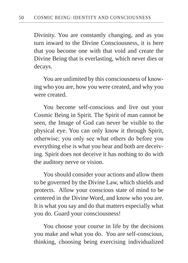Divinity. You are constantly changing, and as you turn inward to the Divine Consciousness, it is here that you become one with that void and create the Divine Being that is everlasting, which never dies or decays.

You are unlimited by this consciousness of knowing who you are, how you were created, and why you were created.

You become self-conscious and live out your Cosmic Being in Spirit. The Spirit of man cannot be seen, the Image of God can never be visible to the physical eye. You can only know it through Spirit, otherwise; you only see what others do before you everything else is what you hear and both are deceiving. Spirit does not deceive it has nothing to do with the auditory nerve or vision.

You should consider your actions and allow them to be governed by the Divine Law, which shields and protects. Allow your conscious state of mind to be centered in the Divine Word, and know who you are. It is what you say and do that matters especially what you do. Guard your consciousness!

You choose your course in life by the decisions you make and what you do. You are self-conscious, thinking, choosing being exercising individualized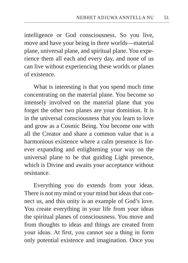intelligence or God consciousness. So you live, move and have your being in three worlds—material plane, universal plane, and spiritual plane. You experience them all each and every day, and none of us can live without experiencing these worlds or planes of existence.

What is interesting is that you spend much time concentrating on the material plane. You become so intensely involved on the material plane that you forget the other two planes are your dominion. It is in the universal consciousness that you learn to love and grow as a Cosmic Being. You become one with all the Creator and share a common value that is a harmonious existence where a calm presence is forever expanding and enlightening your way on the universal plane to be that guiding Light presence, which is Divine and awaits your acceptance without resistance.

Everything you do extends from your ideas. There is not my mind or your mind but ideas that connect us, and this unity is an example of God's love. You create everything in your life from your ideas the spiritual planes of consciousness. You move and from thoughts to ideas and things are created from your ideas. At first, you cannot see a thing in form only potential existence and imagination. Once you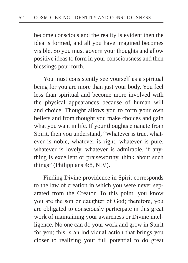become conscious and the reality is evident then the idea is formed, and all you have imagined becomes visible. So you must govern your thoughts and allow positive ideas to form in your consciousness and then blessings pour forth.

You must consistently see yourself as a spiritual being for you are more than just your body. You feel less than spiritual and become more involved with the physical appearances because of human will and choice. Thought allows you to form your own beliefs and from thought you make choices and gain what you want in life. If your thoughts emanate from Spirit, then you understand, "Whatever is true, whatever is noble, whatever is right, whatever is pure, whatever is lovely, whatever is admirable, if anything is excellent or praiseworthy, think about such things" (Philippians 4:8, NIV).

Finding Divine providence in Spirit corresponds to the law of creation in which you were never separated from the Creator. To this point, you know you are the son or daughter of God; therefore, you are obligated to consciously participate in this great work of maintaining your awareness or Divine intelligence. No one can do your work and grow in Spirit for you; this is an individual action that brings you closer to realizing your full potential to do great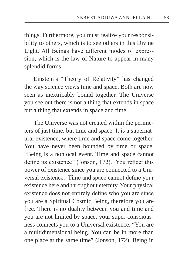things. Furthermore, you must realize your responsibility to others, which is to see others in this Divine Light. All Beings have different modes of expression, which is the law of Nature to appear in many splendid forms.

Einstein's "Theory of Relativity" has changed the way science views time and space. Both are now seen as inextricably bound together. The Universe you see out there is not a thing that extends in space but a thing that extends in space and time.

The Universe was not created within the perimeters of just time, but time and space. It is a supernatural existence, where time and space come together. You have never been bounded by time or space. "Being is a nonlocal event. Time and space cannot define its existence" (Jonson, 172). You reflect this power of existence since you are connected to a Universal existence. Time and space cannot define your existence here and throughout eternity. Your physical existence does not entirely define who you are since you are a Spiritual Cosmic Being, therefore you are free. There is no duality between you and time and you are not limited by space, your super-consciousness connects you to a Universal existence. "You are a multidimensional being. You can be in more than one place at the same time" (Jonson, 172). Being in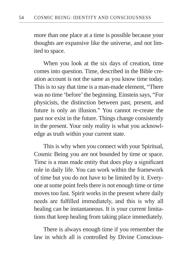more than one place at a time is possible because your thoughts are expansive like the universe, and not limited to space.

When you look at the six days of creation, time comes into question. Time, described in the Bible creation account is not the same as you know time today. This is to say that time is a man-made element, "There was no time 'before' the beginning. Einstein says, "For physicists, the distinction between past, present, and future is only an illusion." You cannot re-create the past nor exist in the future. Things change consistently in the present. Your only reality is what you acknowledge as truth within your current state.

This is why when you connect with your Spiritual, Cosmic Being you are not bounded by time or space. Time is a man made entity that does play a significant role in daily life. You can work within the framework of time but you do not have to be limited by it. Everyone at some point feels there is not enough time or time moves too fast. Spirit works in the present where daily needs are fulfilled immediately, and this is why all healing can be instantaneous. It is your current limitations that keep healing from taking place immediately.

There is always enough time if you remember the law in which all is controlled by Divine Conscious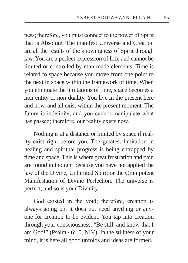ness; therefore, you must connect to the power of Spirit that is Absolute. The manifest Universe and Creation are all the results of the knowingness of Spirit through law. You are a perfect expression of Life and cannot be limited or controlled by man-made elements. Time is related to space because you move from one point to the next in space within the framework of time. When you eliminate the limitations of time, space becomes a non-entity or non-duality. You live in the present here and now, and all exist within the present moment. The future is indefinite, and you cannot manipulate what has passed; therefore, our reality exists now.

Nothing is at a distance or limited by space if reality exist right before you. The greatest limitation in healing and spiritual progress is being entrapped by time and space. This is where great frustration and pain are found in thought because you have not applied the law of the Divine, Unlimited Spirit or the Omnipotent Manifestation of Divine Perfection. The universe is perfect, and so is your Divinity.

God existed in the void; therefore, creation is always going on, it does not need anything or anyone for creation to be evident. You tap into creation through your consciousness. "Be still, and know that I am God!" (Psalm 46:10, NIV). In the stillness of your mind, it is here all good unfolds and ideas are formed.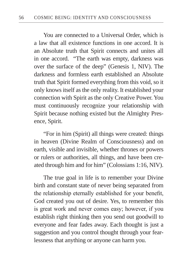You are connected to a Universal Order, which is a law that all existence functions in one accord. It is an Absolute truth that Spirit connects and unites all in one accord. "The earth was empty, darkness was over the surface of the deep" (Genesis 1, NIV). The darkness and formless earth established an Absolute truth that Spirit formed everything from this void, so it only knows itself as the only reality. It established your connection with Spirit as the only Creative Power. You must continuously recognize your relationship with Spirit because nothing existed but the Almighty Presence, Spirit.

"For in him (Spirit) all things were created: things in heaven (Divine Realm of Consciousness) and on earth, visible and invisible, whether thrones or powers or rulers or authorities, all things, and have been created through him and for him" (Colossians 1:16, NIV).

The true goal in life is to remember your Divine birth and constant state of never being separated from the relationship eternally established for your benefit, God created you out of desire. Yes, to remember this is great work and never comes easy; however, if you establish right thinking then you send out goodwill to everyone and fear fades away. Each thought is just a suggestion and you control thought through your fearlessness that anything or anyone can harm you.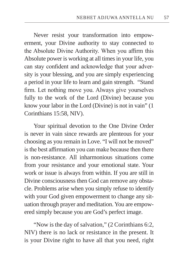Never resist your transformation into empowerment, your Divine authority to stay connected to the Absolute Divine Authority. When you affirm this Absolute power is working at all times in your life, you can stay confident and acknowledge that your adversity is your blessing, and you are simply experiencing a period in your life to learn and gain strength. "Stand firm. Let nothing move you. Always give yourselves fully to the work of the Lord (Divine) because you know your labor in the Lord (Divine) is not in vain" (1 Corinthians 15:58, NIV).

Your spiritual devotion to the One Divine Order is never in vain since rewards are plenteous for your choosing as you remain in Love. "I will not be moved" is the best affirmation you can make because then there is non-resistance. All inharmonious situations come from your resistance and your emotional state. Your work or issue is always from within. If you are still in Divine consciousness then God can remove any obstacle. Problems arise when you simply refuse to identify with your God given empowerment to change any situation through prayer and meditation. You are empowered simply because you are God's perfect image.

"Now is the day of salvation," (2 Corinthians 6:2, NIV) there is no lack or resistance in the present. It is your Divine right to have all that you need, right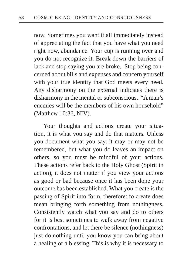now. Sometimes you want it all immediately instead of appreciating the fact that you have what you need right now, abundance. Your cup is running over and you do not recognize it. Break down the barriers of lack and stop saying you are broke. Stop being concerned about bills and expenses and concern yourself with your true identity that God meets every need. Any disharmony on the external indicates there is disharmony in the mental or subconscious. "A man's enemies will be the members of his own household" (Matthew 10:36, NIV).

Your thoughts and actions create your situation, it is what you say and do that matters. Unless you document what you say, it may or may not be remembered, but what you do leaves an impact on others, so you must be mindful of your actions. These actions refer back to the Holy Ghost (Spirit in action), it does not matter if you view your actions as good or bad because once it has been done your outcome has been established. What you create is the passing of Spirit into form, therefore; to create does mean bringing forth something from nothingness. Consistently watch what you say and do to others for it is best sometimes to walk away from negative confrontations, and let there be silence (nothingness) just do nothing until you know you can bring about a healing or a blessing. This is why it is necessary to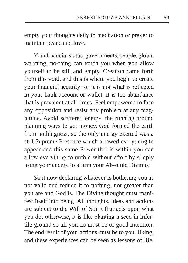empty your thoughts daily in meditation or prayer to maintain peace and love.

Your financial status, governments, people, global warming, no-thing can touch you when you allow yourself to be still and empty. Creation came forth from this void, and this is where you begin to create your financial security for it is not what is reflected in your bank account or wallet, it is the abundance that is prevalent at all times. Feel empowered to face any opposition and resist any problem at any magnitude. Avoid scattered energy, the running around planning ways to get money. God formed the earth from nothingness, so the only energy exerted was a still Supreme Presence which allowed everything to appear and this same Power that is within you can allow everything to unfold without effort by simply using your energy to affirm your Absolute Divinity.

Start now declaring whatever is bothering you as not valid and reduce it to nothing, not greater than you are and God is. The Divine thought must manifest itself into being. All thoughts, ideas and actions are subject to the Will of Spirit that acts upon what you do; otherwise, it is like planting a seed in infertile ground so all you do must be of good intention. The end result of your actions must be to your liking, and these experiences can be seen as lessons of life.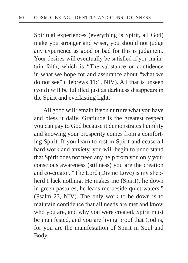Spiritual experiences (everything is Spirit, all God) make you stronger and wiser, you should not judge any experience as good or bad for this is judgment. Your desires will eventually be satisfied if you maintain faith, which is "The substance or confidence in what we hope for and assurance about "what we do not see" (Hebrews 11:1, NIV). All that is unseen (void) will be fulfilled just as darkness disappears in the Spirit and everlasting light.

All good will remain if you nurture what you have and bless it daily. Gratitude is the greatest respect you can pay to God because it demonstrates humility and knowing your prosperity comes from a comforting Spirit. If you learn to rest in Spirit and cease all hard work and anxiety, you will begin to understand that Spirit does not need any help from you only your conscious awareness (stillness) you are the creation and co-creator. "The Lord (Divine Love) is my shepherd I lack nothing. He makes me (Spirit), lie down in green pastures, he leads me beside quiet waters," (Psalm 23, NIV). The only work to be down is to maintain confidence that all needs are met and know who you are, and why you were created. Spirit must be manifested, and you are living proof that God is, for you are the manifestation of Spirit in Soul and Body.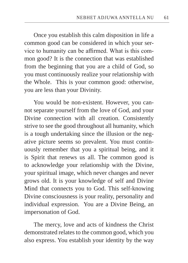Once you establish this calm disposition in life a common good can be considered in which your service to humanity can be affirmed. What is this common good? It is the connection that was established from the beginning that you are a child of God, so you must continuously realize your relationship with the Whole. This is your common good: otherwise, you are less than your Divinity.

You would be non-existent. However, you cannot separate yourself from the love of God, and your Divine connection with all creation. Consistently strive to see the good throughout all humanity, which is a tough undertaking since the illusion or the negative picture seems so prevalent. You must continuously remember that you a spiritual being, and it is Spirit that renews us all. The common good is to acknowledge your relationship with the Divine, your spiritual image, which never changes and never grows old. It is your knowledge of self and Divine Mind that connects you to God. This self-knowing Divine consciousness is your reality, personality and individual expression. You are a Divine Being, an impersonation of God.

The mercy, love and acts of kindness the Christ demonstrated relates to the common good, which you also express. You establish your identity by the way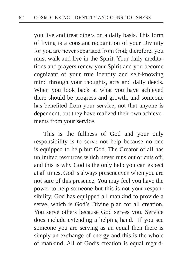you live and treat others on a daily basis. This form of living is a constant recognition of your Divinity for you are never separated from God; therefore, you must walk and live in the Spirit. Your daily meditations and prayers renew your Spirit and you become cognizant of your true identity and self-knowing mind through your thoughts, acts and daily deeds. When you look back at what you have achieved there should be progress and growth, and someone has benefited from your service, not that anyone is dependent, but they have realized their own achievements from your service.

This is the fullness of God and your only responsibility is to serve not help because no one is equipped to help but God. The Creator of all has unlimited resources which never runs out or cuts off, and this is why God is the only help you can expect at all times. God is always present even when you are not sure of this presence. You may feel you have the power to help someone but this is not your responsibility. God has equipped all mankind to provide a serve, which is God's Divine plan for all creation. You serve others because God serves you. Service does include extending a helping hand. If you see someone you are serving as an equal then there is simply an exchange of energy and this is the whole of mankind. All of God's creation is equal regard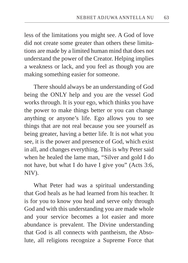less of the limitations you might see. A God of love did not create some greater than others these limitations are made by a limited human mind that does not understand the power of the Creator. Helping implies a weakness or lack, and you feel as though you are making something easier for someone.

There should always be an understanding of God being the ONLY help and you are the vessel God works through. It is your ego, which thinks you have the power to make things better or you can change anything or anyone's life. Ego allows you to see things that are not real because you see yourself as being greater, having a better life. It is not what you see, it is the power and presence of God, which exist in all, and changes everything. This is why Peter said when he healed the lame man, "Silver and gold I do not have, but what I do have I give you" (Acts 3:6, NIV).

What Peter had was a spiritual understanding that God heals as he had learned from his teacher. It is for you to know you heal and serve only through God and with this understanding you are made whole and your service becomes a lot easier and more abundance is prevalent. The Divine understanding that God is all connects with pantheism, the Absolute, all religions recognize a Supreme Force that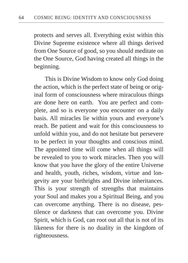protects and serves all. Everything exist within this Divine Supreme existence where all things derived from One Source of good, so you should meditate on the One Source, God having created all things in the beginning.

 This is Divine Wisdom to know only God doing the action, which is the perfect state of being or original form of consciousness where miraculous things are done here on earth. You are perfect and complete, and so is everyone you encounter on a daily basis. All miracles lie within yours and everyone's reach. Be patient and wait for this consciousness to unfold within you, and do not hesitate but persevere to be perfect in your thoughts and conscious mind. The appointed time will come when all things will be revealed to you to work miracles. Then you will know that you have the glory of the entire Universe and health, youth, riches, wisdom, virtue and longevity are your birthrights and Divine inheritances. This is your strength of strengths that maintains your Soul and makes you a Spiritual Being, and you can overcome anything. There is no disease, pestilence or darkness that can overcome you. Divine Spirit, which is God, can root out all that is not of its likeness for there is no duality in the kingdom of righteousness.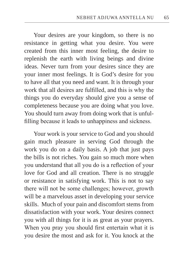Your desires are your kingdom, so there is no resistance in getting what you desire. You were created from this inner most feeling, the desire to replenish the earth with living beings and divine ideas. Never turn from your desires since they are your inner most feelings. It is God's desire for you to have all that you need and want. It is through your work that all desires are fulfilled, and this is why the things you do everyday should give you a sense of completeness because you are doing what you love. You should turn away from doing work that is unfulfilling because it leads to unhappiness and sickness.

Your work is your service to God and you should gain much pleasure in serving God through the work you do on a daily basis. A job that just pays the bills is not riches. You gain so much more when you understand that all you do is a reflection of your love for God and all creation. There is no struggle or resistance in satisfying work. This is not to say there will not be some challenges; however, growth will be a marvelous asset in developing your service skills. Much of your pain and discomfort stems from dissatisfaction with your work. Your desires connect you with all things for it is as great as your prayers. When you pray you should first entertain what it is you desire the most and ask for it. You knock at the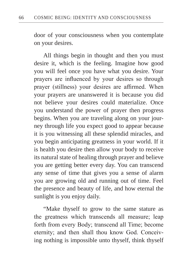door of your consciousness when you contemplate on your desires.

All things begin in thought and then you must desire it, which is the feeling. Imagine how good you will feel once you have what you desire. Your prayers are influenced by your desires so through prayer (stillness) your desires are affirmed. When your prayers are unanswered it is because you did not believe your desires could materialize. Once you understand the power of prayer then progress begins. When you are traveling along on your journey through life you expect good to appear because it is you witnessing all these splendid miracles, and you begin anticipating greatness in your world. If it is health you desire then allow your body to receive its natural state of healing through prayer and believe you are getting better every day. You can transcend any sense of time that gives you a sense of alarm you are growing old and running out of time. Feel the presence and beauty of life, and how eternal the sunlight is you enjoy daily.

"Make thyself to grow to the same stature as the greatness which transcends all measure; leap forth from every Body; transcend all Time; become eternity; and then shall thou know God. Conceiving nothing is impossible unto thyself, think thyself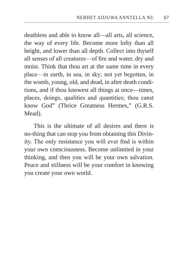deathless and able to know all—all arts, all science, the way of every life. Become more lofty than all height, and lower than all depth. Collect into thyself all senses of all creatures—of fire and water, dry and moist. Think that thou art at the same time in every place—in earth, in sea, in sky; not yet begotten, in the womb, young, old, and dead, in after death conditions, and if thou knowest all things at once––times, places, doings, qualities and quantities; thou canst know God" (Thrice Greatness Hermes," (G.R.S. Mead).

This is the ultimate of all desires and there is no-thing that can stop you from obtaining this Divinity. The only resistance you will ever find is within your own consciousness. Become unlimited in your thinking, and then you will be your own salvation. Peace and stillness will be your comfort in knowing you create your own world.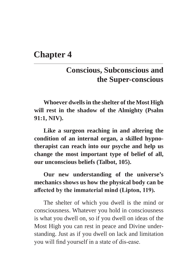## **Chapter 4**

## **Conscious, Subconscious and the Super-conscious**

**Whoever dwells in the shelter of the Most High will rest in the shadow of the Almighty (Psalm 91:1, NIV).**

**Like a surgeon reaching in and altering the condition of an internal organ, a skilled hypnotherapist can reach into our psyche and help us change the most important type of belief of all, our unconscious beliefs (Talbot, 105).**

**Our new understanding of the universe's mechanics shows us how the physical body can be affected by the immaterial mind (Lipton, 119).**

The shelter of which you dwell is the mind or consciousness. Whatever you hold in consciousness is what you dwell on, so if you dwell on ideas of the Most High you can rest in peace and Divine understanding. Just as if you dwell on lack and limitation you will find yourself in a state of dis-ease.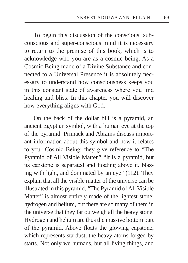To begin this discussion of the conscious, subconscious and super-conscious mind it is necessary to return to the premise of this book, which is to acknowledge who you are as a cosmic being. As a Cosmic Being made of a Divine Substance and connected to a Universal Presence it is absolutely necessary to understand how consciousness keeps you in this constant state of awareness where you find healing and bliss. In this chapter you will discover how everything aligns with God.

On the back of the dollar bill is a pyramid, an ancient Egyptian symbol, with a human eye at the top of the pyramid. Primack and Abrams discuss important information about this symbol and how it relates to your Cosmic Being; they give reference to "The Pyramid of All Visible Matter." "It is a pyramid, but its capstone is separated and floating above it, blazing with light, and dominated by an eye" (112). They explain that all the visible matter of the universe can be illustrated in this pyramid. "The Pyramid of All Visible Matter" is almost entirely made of the lightest stone: hydrogen and helium, but there are so many of them in the universe that they far outweigh all the heavy stone. Hydrogen and helium are thus the massive bottom part of the pyramid. Above floats the glowing capstone, which represents stardust, the heavy atoms forged by starts. Not only we humans, but all living things, and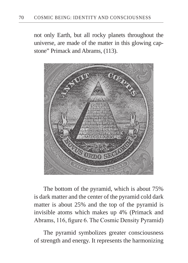not only Earth, but all rocky planets throughout the universe, are made of the matter in this glowing capstone" Primack and Abrams, (113).



The bottom of the pyramid, which is about 75% is dark matter and the center of the pyramid cold dark matter is about 25% and the top of the pyramid is invisible atoms which makes up 4% (Primack and Abrams, 116, figure 6. The Cosmic Density Pyramid)

The pyramid symbolizes greater consciousness of strength and energy. It represents the harmonizing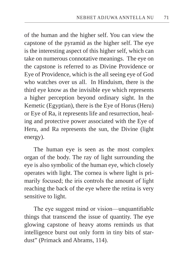of the human and the higher self. You can view the capstone of the pyramid as the higher self. The eye is the interesting aspect of this higher self, which can take on numerous connotative meanings. The eye on the capstone is referred to as Divine Providence or Eye of Providence, which is the all seeing eye of God who watches over us all. In Hinduism, there is the third eye know as the invisible eye which represents a higher perception beyond ordinary sight. In the Kemetic (Egyptian), there is the Eye of Horus (Heru) or Eye of Ra, it represents life and resurrection, healing and protective power associated with the Eye of Heru, and Ra represents the sun, the Divine (light energy).

The human eye is seen as the most complex organ of the body. The ray of light surrounding the eye is also symbolic of the human eye, which closely operates with light. The cornea is where light is primarily focused; the iris controls the amount of light reaching the back of the eye where the retina is very sensitive to light.

The eye suggest mind or vision—unquantifiable things that transcend the issue of quantity. The eye glowing capstone of heavy atoms reminds us that intelligence burst out only form in tiny bits of stardust" (Primack and Abrams, 114).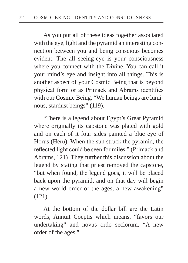As you put all of these ideas together associated with the eye, light and the pyramid an interesting connection between you and being conscious becomes evident. The all seeing-eye is your consciousness where you connect with the Divine. You can call it your mind's eye and insight into all things. This is another aspect of your Cosmic Being that is beyond physical form or as Primack and Abrams identifies with our Cosmic Being, "We human beings are luminous, stardust beings" (119).

"There is a legend about Egypt's Great Pyramid where originally its capstone was plated with gold and on each of it four sides painted a blue eye of Horus (Heru). When the sun struck the pyramid, the reflected light could be seen for miles." (Primack and Abrams, 121) They further this discussion about the legend by stating that priest removed the capstone, "but when found, the legend goes, it will be placed back upon the pyramid, and on that day will begin a new world order of the ages, a new awakening" (121).

At the bottom of the dollar bill are the Latin words, Annuit Coeptis which means, "favors our undertaking" and novus ordo seclorum, "A new order of the ages."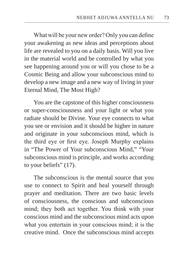What will be your new order? Only you can define your awakening as new ideas and perceptions about life are revealed to you on a daily basis. Will you live in the material world and be controlled by what you see happening around you or will you chose to be a Cosmic Being and allow your subconscious mind to develop a new image and a new way of living in your Eternal Mind, The Most High?

You are the capstone of this higher consciousness or super-consciousness and your light or what you radiate should be Divine. Your eye connects to what you see or envision and it should be higher in nature and originate in your subconscious mind, which is the third eye or first eye. Joseph Murphy explains in "The Power of Your subconscious Mind," "Your subconscious mind is principle, and works according to your beliefs" (17).

The subconscious is the mental source that you use to connect to Spirit and heal yourself through prayer and meditation. There are two basic levels of consciousness, the conscious and subconscious mind; they both act together. You think with your conscious mind and the subconscious mind acts upon what you entertain in your conscious mind; it is the creative mind. Once the subconscious mind accepts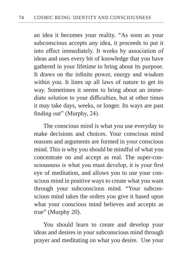an idea it becomes your reality. "As soon as your subconscious accepts any idea, it proceeds to put it into effect immediately. It works by association of ideas and uses every bit of knowledge that you have gathered in your lifetime to bring about its purpose. It draws on the infinite power, energy and wisdom within you. It lines up all laws of nature to get its way. Sometimes it seems to bring about an immediate solution to your difficulties, but at other times it may take days, weeks, or longer. Its ways are past finding out" (Murphy, 24).

The conscious mind is what you use everyday to make decisions and choices. Your conscious mind reasons and arguments are formed in your conscious mind. This is why you should be mindful of what you concentrate on and accept as real. The super-consciousness is what you must develop, it is your first eye of meditation, and allows you to use your conscious mind in positive ways to create what you want through your subconscious mind. "Your subconscious mind takes the orders you give it based upon what your conscious mind believes and accepts as true" (Murphy 20).

You should learn to create and develop your ideas and desires in your subconscious mind through prayer and meditating on what you desire. Use your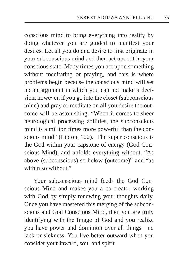conscious mind to bring everything into reality by doing whatever you are guided to manifest your desires. Let all you do and desire to first originate in your subconscious mind and then act upon it in your conscious state. Many times you act upon something without meditating or praying, and this is where problems begin because the conscious mind will set up an argument in which you can not make a decision; however, if you go into the closet (subconscious mind) and pray or meditate on all you desire the outcome will be astonishing. "When it comes to sheer neurological processing abilities, the subconscious mind is a million times more powerful than the conscious mind" (Lipton, 122). The super conscious is the God within your capstone of energy (God Conscious Mind), and unfolds everything without. "As above (subconscious) so below (outcome)" and "as within so without."

Your subconscious mind feeds the God Conscious Mind and makes you a co-creator working with God by simply renewing your thoughts daily. Once you have mastered this merging of the subconscious and God Conscious Mind, then you are truly identifying with the Image of God and you realize you have power and dominion over all things—no lack or sickness. You live better outward when you consider your inward, soul and spirit.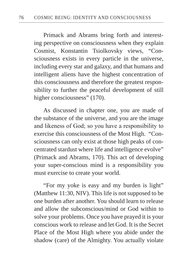Primack and Abrams bring forth and interesting perspective on consciousness when they explain Cosmist, Konstantin Tsiolkovsky views, "Consciousness exists in every particle in the universe, including every star and galaxy, and that humans and intelligent aliens have the highest concentration of this consciousness and therefore the greatest responsibility to further the peaceful development of still higher consciousness" (170).

As discussed in chapter one, you are made of the substance of the universe, and you are the image and likeness of God; so you have a responsibility to exercise this consciousness of the Most High. "Consciousness can only exist at those high peaks of concentrated stardust where life and intelligence evolve" (Primack and Abrams, 170). This act of developing your super-conscious mind is a responsibility you must exercise to create your world.

"For my yoke is easy and my burden is light" (Matthew 11:30, NIV). This life is not supposed to be one burden after another. You should learn to release and allow the subconscious/mind or God within to solve your problems. Once you have prayed it is your conscious work to release and let God. It is the Secret Place of the Most High where you abide under the shadow (care) of the Almighty. You actually violate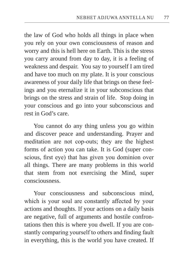the law of God who holds all things in place when you rely on your own consciousness of reason and worry and this is hell here on Earth. This is the stress you carry around from day to day, it is a feeling of weakness and despair. You say to yourself I am tired and have too much on my plate. It is your conscious awareness of your daily life that brings on these feelings and you eternalize it in your subconscious that brings on the stress and strain of life. Stop doing in your conscious and go into your subconscious and rest in God's care.

You cannot do any thing unless you go within and discover peace and understanding. Prayer and meditation are not cop-outs; they are the highest forms of action you can take. It is God (super conscious, first eye) that has given you dominion over all things. There are many problems in this world that stem from not exercising the Mind, super consciousness.

Your consciousness and subconscious mind, which is your soul are constantly affected by your actions and thoughts. If your actions on a daily basis are negative, full of arguments and hostile confrontations then this is where you dwell. If you are constantly comparing yourself to others and finding fault in everything, this is the world you have created. If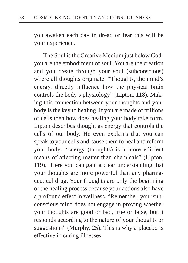you awaken each day in dread or fear this will be your experience.

The Soul is the Creative Medium just below Godyou are the embodiment of soul. You are the creation and you create through your soul (subconscious) where all thoughts originate. "Thoughts, the mind's energy, directly influence how the physical brain controls the body's physiology" (Lipton, 118). Making this connection between your thoughts and your body is the key to healing. If you are made of trillions of cells then how does healing your body take form. Lipton describes thought as energy that controls the cells of our body. He even explains that you can speak to your cells and cause them to heal and reform your body. "Energy (thoughts) is a more efficient means of affecting matter than chemicals" (Lipton, 119). Here you can gain a clear understanding that your thoughts are more powerful than any pharmaceutical drug. Your thoughts are only the beginning of the healing process because your actions also have a profound effect in wellness. "Remember, your subconscious mind does not engage in proving whether your thoughts are good or bad, true or false, but it responds according to the nature of your thoughts or suggestions" (Murphy, 25). This is why a placebo is effective in curing illnesses.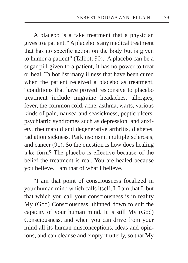A placebo is a fake treatment that a physician gives to a patient. " A placebo is any medical treatment that has no specific action on the body but is given to humor a patient" (Talbot, 90). A placebo can be a sugar pill given to a patient, it has no power to treat or heal. Talbot list many illness that have been cured when the patient received a placebo as treatment, "conditions that have proved responsive to placebo treatment include migraine headaches, allergies, fever, the common cold, acne, asthma, warts, various kinds of pain, nausea and seasickness, peptic ulcers, psychiatric syndromes such as depression, and anxiety, rheumatoid and degenerative arthritis, diabetes, radiation sickness, Parkinsonism, multiple sclerosis, and cancer (91). So the question is how does healing take form? The placebo is effective because of the belief the treatment is real. You are healed because you believe. I am that of what I believe.

"I am that point of consciousness focalized in your human mind which calls itself, I. I am that I, but that which you call your consciousness is in reality My (God) Consciousness, thinned down to suit the capacity of your human mind. It is still My (God) Consciousness, and when you can drive from your mind all its human misconceptions, ideas and opinions, and can cleanse and empty it utterly, so that My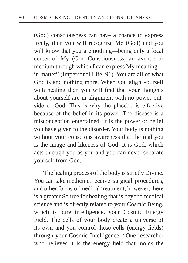(God) consciousness can have a chance to express freely, then you will recognize Me (God) and you will know that you are nothing—being only a focal center of My (God Consciousness, an avenue or medium through which I can express My meaning in matter" (Impersonal Life, 91). You are all of what God is and nothing more. When you align yourself with healing then you will find that your thoughts about yourself are in alignment with no power outside of God. This is why the placebo is effective because of the belief in its power. The disease is a misconception entertained. It is the power or belief you have given to the disorder. Your body is nothing without your conscious awareness that the real you is the image and likeness of God. It is God, which acts through you as you and you can never separate yourself from God.

The healing process of the body is strictly Divine. You can take medicine, receive surgical procedures, and other forms of medical treatment; however, there is a greater Source for healing that is beyond medical science and is directly related to your Cosmic Being, which is pure intelligence, your Cosmic Energy Field. The cells of your body create a universe of its own and you control these cells (energy fields) through your Cosmic Intelligence. "One researcher who believes it is the energy field that molds the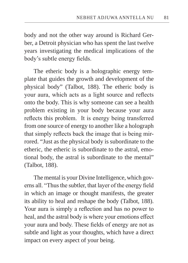body and not the other way around is Richard Gerber, a Detroit physician who has spent the last twelve years investigating the medical implications of the body's subtle energy fields.

The etheric body is a holographic energy template that guides the growth and development of the physical body" (Talbot, 188). The etheric body is your aura, which acts as a light source and reflects onto the body. This is why someone can see a health problem existing in your body because your aura reflects this problem. It is energy being transferred from one source of energy to another like a holograph that simply reflects back the image that is being mirrored. "Just as the physical body is subordinate to the etheric, the etheric is subordinate to the astral, emotional body, the astral is subordinate to the mental" (Talbot, 188).

The mental is your Divine Intelligence, which governs all. "Thus the subtler, that layer of the energy field in which an image or thought manifests, the greater its ability to heal and reshape the body (Talbot, 188). Your aura is simply a reflection and has no power to heal, and the astral body is where your emotions effect your aura and body. These fields of energy are not as subtle and light as your thoughts, which have a direct impact on every aspect of your being.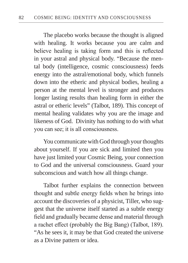The placebo works because the thought is aligned with healing. It works because you are calm and believe healing is taking form and this is reflected in your astral and physical body. "Because the mental body (intelligence, cosmic consciousness) feeds energy into the astral/emotional body, which funnels down into the etheric and physical bodies, healing a person at the mental level is stronger and produces longer lasting results than healing form in either the astral or etheric levels" (Talbot, 189). This concept of mental healing validates why you are the image and likeness of God. Divinity has nothing to do with what you can see; it is all consciousness.

You communicate with God through your thoughts about yourself. If you are sick and limited then you have just limited your Cosmic Being, your connection to God and the universal consciousness. Guard your subconscious and watch how all things change.

Talbot further explains the connection between thought and subtle energy fields when he brings into account the discoveries of a physicist, Tiller, who suggest that the universe itself started as a subtle energy field and gradually became dense and material through a rachet effect (probably the Big Bang) (Talbot, 189). "As he sees it, it may be that God created the universe as a Divine pattern or idea.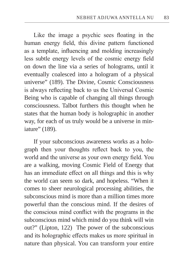Like the image a psychic sees floating in the human energy field, this divine pattern functioned as a template, influencing and molding increasingly less subtle energy levels of the cosmic energy field on down the line via a series of holograms, until it eventually coalesced into a hologram of a physical universe" (189). The Divine, Cosmic Consciousness is always reflecting back to us the Universal Cosmic Being who is capable of changing all things through consciousness. Talbot furthers this thought when he states that the human body is holographic in another way, for each of us truly would be a universe in miniature" (189).

If your subconscious awareness works as a holograph then your thoughts reflect back to you, the world and the universe as your own energy field. You are a walking, moving Cosmic Field of Energy that has an immediate effect on all things and this is why the world can seem so dark, and hopeless. "When it comes to sheer neurological processing abilities, the subconscious mind is more than a million times more powerful than the conscious mind. If the desires of the conscious mind conflict with the programs in the subconscious mind which mind do you think will win out?" (Lipton, 122) The power of the subconscious and its holographic effects makes us more spiritual in nature than physical. You can transform your entire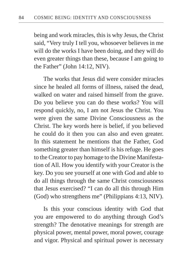being and work miracles, this is why Jesus, the Christ said, "Very truly I tell you, whosoever believes in me will do the works I have been doing, and they will do even greater things than these, because I am going to the Father" (John 14:12, NIV).

The works that Jesus did were consider miracles since he healed all forms of illness, raised the dead, walked on water and raised himself from the grave. Do you believe you can do these works? You will respond quickly, no, I am not Jesus the Christ. You were given the same Divine Consciousness as the Christ. The key words here is belief, if you believed he could do it then you can also and even greater. In this statement he mentions that the Father, God something greater than himself is his refuge. He goes to the Creator to pay homage to the Divine Manifestation of All. How you identify with your Creator is the key. Do you see yourself at one with God and able to do all things through the same Christ consciousness that Jesus exercised? "I can do all this through Him (God) who strengthens me" (Philippians 4:13, NIV).

Is this your conscious identity with God that you are empowered to do anything through God's strength? The denotative meanings for strength are physical power, mental power, moral power, courage and vigor. Physical and spiritual power is necessary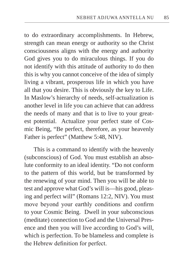to do extraordinary accomplishments. In Hebrew, strength can mean energy or authority so the Christ consciousness aligns with the energy and authority God gives you to do miraculous things. If you do not identify with this attitude of authority to do then this is why you cannot conceive of the idea of simply living a vibrant, prosperous life in which you have all that you desire. This is obviously the key to Life. In Maslow's hierarchy of needs, self-actualization is another level in life you can achieve that can address the needs of many and that is to live to your greatest potential. Actualize your perfect state of Cosmic Being, "Be perfect, therefore, as your heavenly Father is perfect" (Matthew 5:48, NIV).

This is a command to identify with the heavenly (subconscious) of God. You must establish an absolute conformity to an ideal identity. "Do not conform to the pattern of this world, but be transformed by the renewing of your mind. Then you will be able to test and approve what God's will is—his good, pleasing and perfect will" (Romans 12:2, NIV). You must move beyond your earthly conditions and confirm to your Cosmic Being. Dwell in your subconscious (meditate) connection to God and the Universal Presence and then you will live according to God's will, which is perfection. To be blameless and complete is the Hebrew definition for perfect.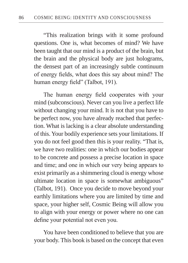"This realization brings with it some profound questions. One is, what becomes of mind? We have been taught that our mind is a product of the brain, but the brain and the physical body are just holograms, the densest part of an increasingly subtle continuum of energy fields, what does this say about mind? The human energy field" (Talbot, 191).

The human energy field cooperates with your mind (subconscious). Never can you live a perfect life without changing your mind. It is not that you have to be perfect now, you have already reached that perfection. What is lacking is a clear absolute understanding of this. Your bodily experience sets your limitations. If you do not feel good then this is your reality. "That is, we have two realities: one in which our bodies appear to be concrete and possess a precise location in space and time; and one in which our very being appears to exist primarily as a shimmering cloud is energy whose ultimate location in space is somewhat ambiguous" (Talbot, 191). Once you decide to move beyond your earthly limitations where you are limited by time and space, your higher self, Cosmic Being will allow you to align with your energy or power where no one can define your potential not even you.

You have been conditioned to believe that you are your body. This book is based on the concept that even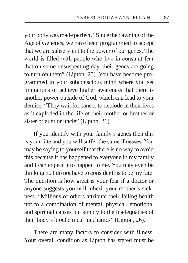your body was made perfect. "Since the dawning of the Age of Genetics, we have been programmed to accept that we are subservient to the power of our genes. The world is filled with people who live in constant fear that on some unsuspecting day, their genes are going to turn on them" (Lipton, 25). You have become programmed in your subconscious mind where you set limitations or achieve higher awareness that there is another power outside of God, which can lead to your demise. "They wait for cancer to explode in their lives as it exploded in the life of their mother or brother or sister or aunt or uncle" (Lipton, 26).

If you identify with your family's genes then this is your fate and you will suffer the same illnesses. You may be saying to yourself that there is no way to avoid this because it has happened to everyone in my family and I can expect it to happen to me. You may even be thinking no I do not have to consider this to be my fate. The question is how great is your fear if a doctor or anyone suggests you will inherit your mother's sickness. "Millions of others attribute their failing health not to a combination of mental, physical, emotional and spiritual causes but simply to the inadequacies of their body's biochemical mechanics" (Lipton, 26).

There are many factors to consider with illness. Your overall condition as Lipton has stated must be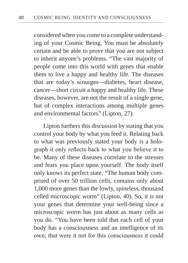considered when you come to a complete understanding of your Cosmic Being. You must be absolutely certain and be able to prove that you are not subject to inherit anyone's problems. "The vast majority of people come into this world with genes that enable them to live a happy and healthy life. The diseases that are today's scourges—diabetes, heart disease, cancer—short circuit a happy and healthy life. These diseases, however, are not the result of a single gene, but of complex interactions among multiple genes and environmental factors" (Lipton, 27).

Lipton furthers this discussion by stating that you control your body by what you feed it. Relating back to what was previously stated your body is a holograph it only reflects back to what you believe it to be. Many of these diseases correlate to the stresses and fears you place upon yourself. The body itself only knows its perfect state. "The human body comprised of over 50 trillion cells, contains only about 1,000 more genes than the lowly, spineless, thousand celled microscopic worm" (Lipton, 40). So, it is not your genes that determine your well-being since a microscopic worm has just about as many cells as you do. "You have been told that each cell of your body has a consciousness and an intelligence of its own; that were it not for this consciousness it could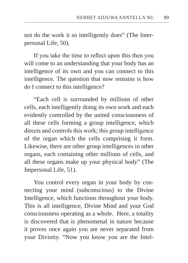not do the work it so intelligently does" (The Interpersonal Life, 50).

If you take the time to reflect upon this then you will come to an understanding that your body has an intelligence of its own and you can connect to this intelligence. The question that now remains is how do I connect to this intelligence?

"Each cell is surrounded by millions of other cells, each intelligently doing its own work and each evidently controlled by the united consciousness of all these cells forming a group intelligence, which directs and controls this work; this group intelligence of the organ which the cells comprising it form. Likewise, there are other group intelligences in other organs, each containing other millions of cells, and all these organs make up your physical body" (The Impersonal Life, 51).

You control every organ in your body by connecting your mind (subconscious) to the Divine Intelligence, which functions throughout your body. This is all intelligence, Divine Mind and your God consciousness operating as a whole. Here, a totality is discovered that is phenomenal in nature because it proves once again you are never separated from your Divinity. "Now you know you are the Intel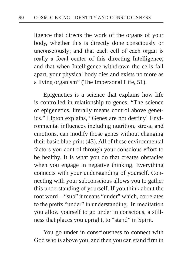ligence that directs the work of the organs of your body, whether this is directly done consciously or unconsciously; and that each cell of each organ is really a focal center of this directing Intelligence; and that when Intelligence withdrawn the cells fall apart, your physical body dies and exists no more as a living organism" (The Impersonal Life, 51).

Epigenetics is a science that explains how life is controlled in relationship to genes. "The science of epigenetics, literally means control above genetics." Lipton explains, "Genes are not destiny! Environmental influences including nutrition, stress, and emotions, can modify those genes without changing their basic blue print (43). All of these environmental factors you control through your conscious effort to be healthy. It is what you do that creates obstacles when you engage in negative thinking. Everything connects with your understanding of yourself. Connecting with your subconscious allows you to gather this understanding of yourself. If you think about the root word––"sub" it means "under" which, correlates to the prefix "under" in understanding. In meditation you allow yourself to go under in conscious, a stillness that places you upright, to "stand" in Spirit.

You go under in consciousness to connect with God who is above you, and then you can stand firm in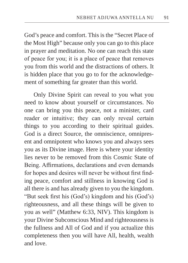God's peace and comfort. This is the "Secret Place of the Most High" because only you can go to this place in prayer and meditation. No one can reach this state of peace for you; it is a place of peace that removes you from this world and the distractions of others. It is hidden place that you go to for the acknowledgement of something far greater than this world.

Only Divine Spirit can reveal to you what you need to know about yourself or circumstances. No one can bring you this peace, not a minister, card reader or intuitive; they can only reveal certain things to you according to their spiritual guides. God is a direct Source, the omniscience, omnipresent and omnipotent who knows you and always sees you as its Divine image. Here is where your identity lies never to be removed from this Cosmic State of Being. Affirmations, declarations and even demands for hopes and desires will never be without first finding peace, comfort and stillness in knowing God is all there is and has already given to you the kingdom. "But seek first his (God's) kingdom and his (God's) righteousness, and all these things will be given to you as well" (Matthew 6:33, NIV). This kingdom is your Divine Subconscious Mind and righteousness is the fullness and All of God and if you actualize this completeness then you will have All, health, wealth and love.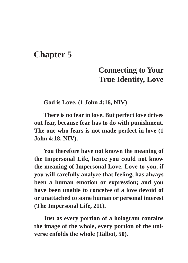## **Chapter 5**

## **Connecting to Your True Identity, Love**

**God is Love. (1 John 4:16, NIV)**

**There is no fear in love. But perfect love drives out fear, because fear has to do with punishment. The one who fears is not made perfect in love (1 John 4:18, NIV).**

**You therefore have not known the meaning of the Impersonal Life, hence you could not know the meaning of Impersonal Love. Love to you, if you will carefully analyze that feeling, has always been a human emotion or expression; and you have been unable to conceive of a love devoid of or unattached to some human or personal interest (The Impersonal Life, 211).**

**Just as every portion of a hologram contains the image of the whole, every portion of the universe enfolds the whole (Talbot, 50).**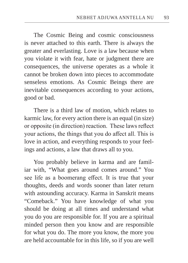The Cosmic Being and cosmic consciousness is never attached to this earth. There is always the greater and everlasting. Love is a law because when you violate it with fear, hate or judgment there are consequences, the universe operates as a whole it cannot be broken down into pieces to accommodate senseless emotions. As Cosmic Beings there are inevitable consequences according to your actions, good or bad.

There is a third law of motion, which relates to karmic law, for every action there is an equal (in size) or opposite (in direction) reaction. These laws reflect your actions, the things that you do affect all. This is love in action, and everything responds to your feelings and actions, a law that draws all to you.

You probably believe in karma and are familiar with, "What goes around comes around." You see life as a boomerang effect. It is true that your thoughts, deeds and words sooner than later return with astounding accuracy. Karma in Sanskrit means "Comeback." You have knowledge of what you should be doing at all times and understand what you do you are responsible for. If you are a spiritual minded person then you know and are responsible for what you do. The more you know, the more you are held accountable for in this life, so if you are well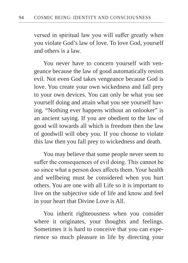versed in spiritual law you will suffer greatly when you violate God's law of love. To love God, yourself and others is a law.

You never have to concern yourself with vengeance because the law of good automatically resists evil. Not even God takes vengeance because God is love. You create your own wickedness and fall prey to your own devices. You can only be what you see yourself doing and attain what you see yourself having. "Nothing ever happens without an onlooker" is an ancient saying. If you are obedient to the law of good will towards all which is freedom then the law of goodwill will obey you. If you choose to violate this law then you fall prey to wickedness and death.

You may believe that some people never seem to suffer the consequences of evil doing. This cannot be so since what a person does affects them. Your health and wellbeing must be considered when you hurt others. You are one with all Life so it is important to live on the subjective side of life and know and feel in your heart that Divine Love is All.

You inherit righteousness when you consider where it originates, your thoughts and feelings. Sometimes it is hard to conceive that you can experience so much pleasure in life by directing your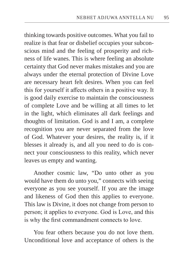thinking towards positive outcomes. What you fail to realize is that fear or disbelief occupies your subconscious mind and the feeling of prosperity and richness of life wanes. This is where feeling an absolute certainty that God never makes mistakes and you are always under the eternal protection of Divine Love are necessary heart felt desires. When you can feel this for yourself it affects others in a positive way. It is good daily exercise to maintain the consciousness of complete Love and be willing at all times to let in the light, which eliminates all dark feelings and thoughts of limitation. God is and I am, a complete recognition you are never separated from the love of God. Whatever your desires, the reality is, if it blesses it already is, and all you need to do is connect your consciousness to this reality, which never leaves us empty and wanting.

Another cosmic law, "Do unto other as you would have them do unto you," connects with seeing everyone as you see yourself. If you are the image and likeness of God then this applies to everyone. This law is Divine, it does not change from person to person; it applies to everyone. God is Love, and this is why the first commandment connects to love.

You fear others because you do not love them. Unconditional love and acceptance of others is the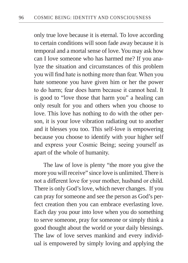only true love because it is eternal. To love according to certain conditions will soon fade away because it is temporal and a mortal sense of love. You may ask how can I love someone who has harmed me? If you analyze the situation and circumstances of this problem you will find hate is nothing more than fear. When you hate someone you have given him or her the power to do harm; fear does harm because it cannot heal. It is good to "love those that harm you" a healing can only result for you and others when you choose to love. This love has nothing to do with the other person, it is your love vibration radiating out to another and it blesses you too. This self-love is empowering because you choose to identify with your higher self and express your Cosmic Being; seeing yourself as apart of the whole of humanity.

The law of love is plenty "the more you give the more you will receive" since love is unlimited. There is not a different love for your mother, husband or child. There is only God's love, which never changes. If you can pray for someone and see the person as God's perfect creation then you can embrace everlasting love. Each day you pour into love when you do something to serve someone, pray for someone or simply think a good thought about the world or your daily blessings. The law of love serves mankind and every individual is empowered by simply loving and applying the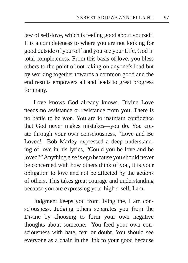law of self-love, which is feeling good about yourself. It is a completeness to where you are not looking for good outside of yourself and you see your Life, God in total completeness. From this basis of love, you bless others to the point of not taking on anyone's load but by working together towards a common good and the end results empowers all and leads to great progress for many.

Love knows God already knows. Divine Love needs no assistance or resistance from you. There is no battle to be won. You are to maintain confidence that God never makes mistakes—you do. You create through your own consciousness, "Love and Be Loved! Bob Marley expressed a deep understanding of love in his lyrics, "Could you be love and be loved?" Anything else is ego because you should never be concerned with how others think of you, it is your obligation to love and not be affected by the actions of others. This takes great courage and understanding because you are expressing your higher self, I am.

Judgment keeps you from living the, I am consciousness. Judging others separates you from the Divine by choosing to form your own negative thoughts about someone. You feed your own consciousness with hate, fear or doubt. You should see everyone as a chain in the link to your good because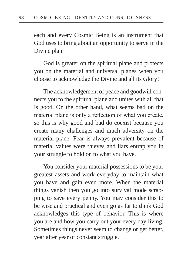each and every Cosmic Being is an instrument that God uses to bring about an opportunity to serve in the Divine plan.

God is greater on the spiritual plane and protects you on the material and universal planes when you choose to acknowledge the Divine and all its Glory!

The acknowledgement of peace and goodwill connects you to the spiritual plane and unites with all that is good. On the other hand, what seems bad on the material plane is only a reflection of what you create, so this is why good and bad do coexist because you create many challenges and much adversity on the material plane. Fear is always prevalent because of material values were thieves and liars entrap you in your struggle to hold on to what you have.

You consider your material possessions to be your greatest assets and work everyday to maintain what you have and gain even more. When the material things vanish then you go into survival mode scrapping to save every penny. You may consider this to be wise and practical and even go as far to think God acknowledges this type of behavior. This is where you are and how you carry out your every day living. Sometimes things never seem to change or get better, year after year of constant struggle.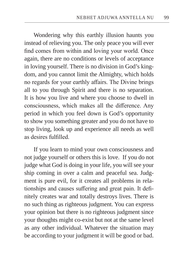Wondering why this earthly illusion haunts you instead of relieving you. The only peace you will ever find comes from within and loving your world. Once again, there are no conditions or levels of acceptance in loving yourself. There is no division in God's kingdom, and you cannot limit the Almighty, which holds no regards for your earthly affairs. The Divine brings all to you through Spirit and there is no separation. It is how you live and where you choose to dwell in consciousness, which makes all the difference. Any period in which you feel down is God's opportunity to show you something greater and you do not have to stop living, look up and experience all needs as well as desires fulfilled.

If you learn to mind your own consciousness and not judge yourself or others this is love. If you do not judge what God is doing in your life, you will see your ship coming in over a calm and peaceful sea. Judgment is pure evil, for it creates all problems in relationships and causes suffering and great pain. It definitely creates war and totally destroys lives. There is no such thing as righteous judgment. You can express your opinion but there is no righteous judgment since your thoughts might co-exist but not at the same level as any other individual. Whatever the situation may be according to your judgment it will be good or bad.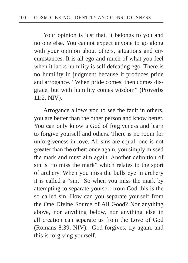Your opinion is just that, it belongs to you and no one else. You cannot expect anyone to go along with your opinion about others, situations and circumstances. It is all ego and much of what you feel when it lacks humility is self defeating ego. There is no humility in judgment because it produces pride and arrogance. "When pride comes, then comes disgrace, but with humility comes wisdom" (Proverbs 11:2, NIV).

Arrogance allows you to see the fault in others, you are better than the other person and know better. You can only know a God of forgiveness and learn to forgive yourself and others. There is no room for unforgiveness in love. All sins are equal, one is not greater than the other; once again, you simply missed the mark and must aim again. Another definition of sin is "to miss the mark" which relates to the sport of archery. When you miss the bulls eye in archery it is called a "sin." So when you miss the mark by attempting to separate yourself from God this is the so called sin. How can you separate yourself from the One Divine Source of All Good? Nor anything above, nor anything below, nor anything else in all creation can separate us from the Love of God (Romans 8:39, NIV). God forgives, try again, and this is forgiving yourself.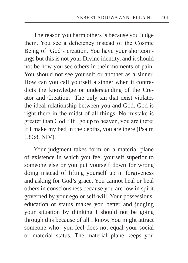The reason you harm others is because you judge them. You see a deficiency instead of the Cosmic Being of God's creation. You have your shortcomings but this is not your Divine identity, and it should not be how you see others in their moments of pain. You should not see yourself or another as a sinner. How can you call yourself a sinner when it contradicts the knowledge or understanding of the Creator and Creation. The only sin that exist violates the ideal relationship between you and God. God is right there in the midst of all things. No mistake is greater than God. "If I go up to heaven, you are there; if I make my bed in the depths, you are there (Psalm 139:8, NIV).

Your judgment takes form on a material plane of existence in which you feel yourself superior to someone else or you put yourself down for wrong doing instead of lifting yourself up in forgiveness and asking for God's grace. You cannot heal or heal others in consciousness because you are low in spirit governed by your ego or self-will. Your possessions, education or status makes you better and judging your situation by thinking I should not be going through this because of all I know. You might attract someone who you feel does not equal your social or material status. The material plane keeps you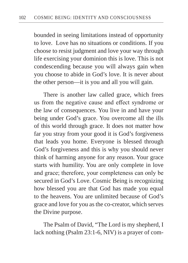bounded in seeing limitations instead of opportunity to love. Love has no situations or conditions. If you choose to resist judgment and love your way through life exercising your dominion this is love. This is not condescending because you will always gain when you choose to abide in God's love. It is never about the other person—it is you and all you will gain.

There is another law called grace, which frees us from the negative cause and effect syndrome or the law of consequences. You live in and have your being under God's grace. You overcome all the ills of this world through grace. It does not matter how far you stray from your good it is God's forgiveness that leads you home. Everyone is blessed through God's forgiveness and this is why you should never think of harming anyone for any reason. Your grace starts with humility. You are only complete in love and grace; therefore, your completeness can only be secured in God's Love. Cosmic Being is recognizing how blessed you are that God has made you equal to the heavens. You are unlimited because of God's grace and love for you as the co-creator, which serves the Divine purpose.

The Psalm of David, "The Lord is my shepherd, I lack nothing (Psalm 23:1-6, NIV) is a prayer of com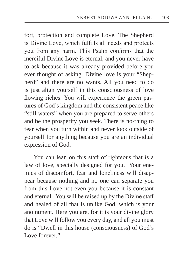fort, protection and complete Love. The Shepherd is Divine Love, which fulfills all needs and protects you from any harm. This Psalm confirms that the merciful Divine Love is eternal, and you never have to ask because it was already provided before you ever thought of asking. Divine love is your "Shepherd" and there are no wants. All you need to do is just align yourself in this consciousness of love flowing riches. You will experience the green pastures of God's kingdom and the consistent peace like "still waters" when you are prepared to serve others and be the prosperity you seek. There is no-thing to fear when you turn within and never look outside of yourself for anything because you are an individual expression of God.

You can lean on this staff of righteous that is a law of love, specially designed for you. Your enemies of discomfort, fear and loneliness will disappear because nothing and no one can separate you from this Love not even you because it is constant and eternal. You will be raised up by the Divine staff and healed of all that is unlike God, which is your anointment. Here you are, for it is your divine glory that Love will follow you every day, and all you must do is "Dwell in this house (consciousness) of God's Love forever."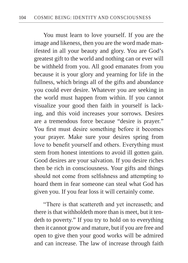You must learn to love yourself. If you are the image and likeness, then you are the word made manifested in all your beauty and glory. You are God's greatest gift to the world and nothing can or ever will be withheld from you. All good emanates from you because it is your glory and yearning for life in the fullness, which brings all of the gifts and abundance you could ever desire. Whatever you are seeking in the world must happen from within. If you cannot visualize your good then faith in yourself is lacking, and this void increases your sorrows. Desires are a tremendous force because "desire is prayer." You first must desire something before it becomes your prayer. Make sure your desires spring from love to benefit yourself and others. Everything must stem from honest intentions to avoid ill gotten gain. Good desires are your salvation. If you desire riches then be rich in consciousness. Your gifts and things should not come from selfishness and attempting to hoard them in fear someone can steal what God has given you. If you fear loss it will certainly come.

"There is that scattereth and yet increaseth; and there is that withholdeth more than is meet, but it tendeth to poverty." If you try to hold on to everything then it cannot grow and mature, but if you are free and open to give then your good works will be admired and can increase. The law of increase through faith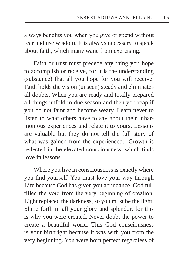always benefits you when you give or spend without fear and use wisdom. It is always necessary to speak about faith, which many wane from exercising.

Faith or trust must precede any thing you hope to accomplish or receive, for it is the understanding (substance) that all you hope for you will receive. Faith holds the vision (unseen) steady and eliminates all doubts. When you are ready and totally prepared all things unfold in due season and then you reap if you do not faint and become weary. Learn never to listen to what others have to say about their inharmonious experiences and relate it to yours. Lessons are valuable but they do not tell the full story of what was gained from the experienced. Growth is reflected in the elevated consciousness, which finds love in lessons.

Where you live in consciousness is exactly where you find yourself. You must love your way through Life because God has given you abundance. God fulfilled the void from the very beginning of creation. Light replaced the darkness, so you must be the light. Shine forth in all your glory and splendor, for this is why you were created. Never doubt the power to create a beautiful world. This God consciousness is your birthright because it was with you from the very beginning. You were born perfect regardless of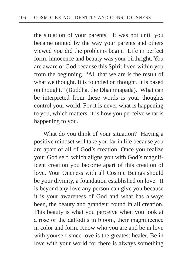the situation of your parents. It was not until you became tainted by the way your parents and others viewed you did the problems begin. Life in perfect form, innocence and beauty was your birthright. You are aware of God because this Spirit lived within you from the beginning. "All that we are is the result of what we thought. It is founded on thought. It is based on thought." (Buddha, the Dhammapada). What can be interpreted from these words is your thoughts control your world. For it is never what is happening to you, which matters, it is how you perceive what is happening to you.

What do you think of your situation? Having a positive mindset will take you far in life because you are apart of all of God's creation. Once you realize your God self, which aligns you with God's magnificent creation you become apart of this creation of love. Your Oneness with all Cosmic Beings should be your divinity, a foundation established on love. It is beyond any love any person can give you because it is your awareness of God and what has always been, the beauty and grandeur found in all creation. This beauty is what you perceive when you look at a rose or the daffodils in bloom, their magnificence in color and form. Know who you are and be in love with yourself since love is the greatest healer. Be in love with your world for there is always something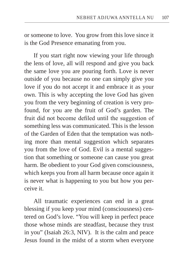or someone to love. You grow from this love since it is the God Presence emanating from you.

If you start right now viewing your life through the lens of love, all will respond and give you back the same love you are pouring forth. Love is never outside of you because no one can simply give you love if you do not accept it and embrace it as your own. This is why accepting the love God has given you from the very beginning of creation is very profound, for you are the fruit of God's garden. The fruit did not become defiled until the suggestion of something less was communicated. This is the lesson of the Garden of Eden that the temptation was nothing more than mental suggestion which separates you from the love of God. Evil is a mental suggestion that something or someone can cause you great harm. Be obedient to your God given consciousness, which keeps you from all harm because once again it is never what is happening to you but how you perceive it.

All traumatic experiences can end in a great blessing if you keep your mind (consciousness) centered on God's love. "You will keep in perfect peace those whose minds are steadfast, because they trust in you" (Isaiah 26:3, NIV). It is the calm and peace Jesus found in the midst of a storm when everyone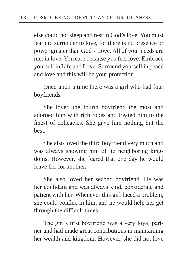else could not sleep and rest in God's love. You must learn to surrender to love, for there is no presence or power greater than God's Love. All of your needs are met in love. You care because you feel love. Embrace yourself in Life and Love. Surround yourself in peace and love and this will be your protection.

Once upon a time there was a girl who had four boyfriends.

She loved the fourth boyfriend the most and adorned him with rich robes and treated him to the finest of delicacies. She gave him nothing but the best.

She also loved the third boyfriend very much and was always showing him off to neighboring kingdoms. However, she feared that one day he would leave her for another.

She also loved her second boyfriend. He was her confidant and was always kind, considerate and patient with her. Whenever this girl faced a problem, she could confide in him, and he would help her get through the difficult times.

The girl's first boyfriend was a very loyal partner and had made great contributions in maintaining her wealth and kingdom. However, she did not love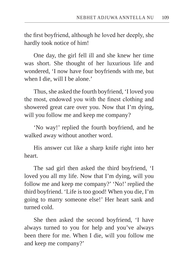the first boyfriend, although he loved her deeply, she hardly took notice of him!

One day, the girl fell ill and she knew her time was short. She thought of her luxurious life and wondered, 'I now have four boyfriends with me, but when I die, will I be alone.'

Thus, she asked the fourth boyfriend, 'I loved you the most, endowed you with the finest clothing and showered great care over you. Now that I'm dying, will you follow me and keep me company?

'No way!' replied the fourth boyfriend, and he walked away without another word.

His answer cut like a sharp knife right into her heart.

The sad girl then asked the third boyfriend, 'I loved you all my life. Now that I'm dying, will you follow me and keep me company?' 'No!' replied the third boyfriend. 'Life is too good! When you die, I'm going to marry someone else!' Her heart sank and turned cold.

She then asked the second boyfriend, 'I have always turned to you for help and you've always been there for me. When I die, will you follow me and keep me company?'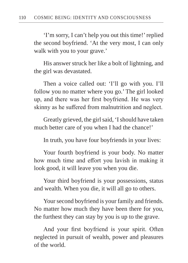'I'm sorry, I can't help you out this time!' replied the second boyfriend. 'At the very most, I can only walk with you to your grave.'

His answer struck her like a bolt of lightning, and the girl was devastated.

Then a voice called out: 'I'll go with you. I'll follow you no matter where you go.' The girl looked up, and there was her first boyfriend. He was very skinny as he suffered from malnutrition and neglect.

Greatly grieved, the girl said, 'I should have taken much better care of you when I had the chance!'

In truth, you have four boyfriends in your lives:

Your fourth boyfriend is your body. No matter how much time and effort you lavish in making it look good, it will leave you when you die.

Your third boyfriend is your possessions, status and wealth. When you die, it will all go to others.

Your second boyfriend is your family and friends. No matter how much they have been there for you, the furthest they can stay by you is up to the grave.

And your first boyfriend is your spirit. Often neglected in pursuit of wealth, power and pleasures of the world.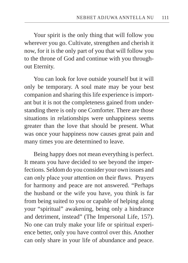Your spirit is the only thing that will follow you wherever you go. Cultivate, strengthen and cherish it now, for it is the only part of you that will follow you to the throne of God and continue with you throughout Eternity.

You can look for love outside yourself but it will only be temporary. A soul mate may be your best companion and sharing this life experience is important but it is not the completeness gained from understanding there is only one Comforter. There are those situations in relationships were unhappiness seems greater than the love that should be present. What was once your happiness now causes great pain and many times you are determined to leave.

Being happy does not mean everything is perfect. It means you have decided to see beyond the imperfections. Seldom do you consider your own issues and can only place your attention on their flaws. Prayers for harmony and peace are not answered. "Perhaps the husband or the wife you have, you think is far from being suited to you or capable of helping along your "spiritual" awakening, being only a hindrance and detriment, instead" (The Impersonal Life, 157). No one can truly make your life or spiritual experience better, only you have control over this. Another can only share in your life of abundance and peace.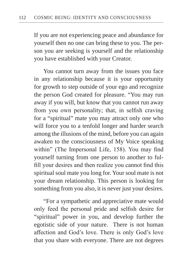If you are not experiencing peace and abundance for yourself then no one can bring these to you. The person you are seeking is yourself and the relationship you have established with your Creator.

You cannot turn away from the issues you face in any relationship because it is your opportunity for growth to step outside of your ego and recognize the person God created for pleasure. "You may run away if you will, but know that you cannot run away from you own personality; that, in selfish craving for a "spiritual" mate you may attract only one who will force you to a tenfold longer and harder search among the illusions of the mind, before you can again awaken to the consciousness of My Voice speaking within" (The Impersonal Life, 158). You may find yourself turning from one person to another to fulfill your desires and then realize you cannot find this spiritual soul mate you long for. Your soul mate is not your dream relationship. This person is looking for something from you also, it is never just your desires.

"For a sympathetic and appreciative mate would only feed the personal pride and selfish desire for "spiritual" power in you, and develop further the egotistic side of your nature. There is not human affection and God's love. There is only God's love that you share with everyone. There are not degrees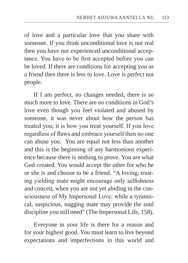of love and a particular love that you share with someone. If you think unconditional love is not real then you have not experienced unconditional acceptance. You have to be first accepted before you can be loved. If there are conditions for accepting you as a friend then there is less to love. Love is perfect not people.

If I am perfect, no changes needed, there is so much more to love. There are no conditions in God's love even though you feel violated and abused by someone, it was never about how the person has treated you; it is how you treat yourself. If you love regardless of flaws and embrace yourself then no one can abuse you. You are equal not less than another and this is the beginning of any harmonious experience because there is nothing to prove. You are what God created. You would accept the other for who he or she is and choose to be a friend. "A loving, trusting yielding mate might encourage only selfishness and conceit, when you are not yet abiding in the consciousness of My Impersonal Love; while a tyrannical, suspicious, nagging mate may provide the soul discipline you still need" (The Impersonal Life, 158).

Everyone in your life is there for a reason and for your highest good. You must learn to live beyond expectations and imperfections in this world and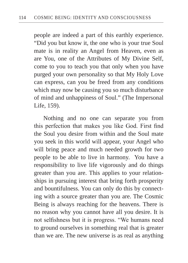people are indeed a part of this earthly experience. "Did you but know it, the one who is your true Soul mate is in reality an Angel from Heaven, even as are You, one of the Attributes of My Divine Self, come to you to teach you that only when you have purged your own personality so that My Holy Love can express, can you be freed from any conditions which may now be causing you so much disturbance of mind and unhappiness of Soul." (The Impersonal Life, 159).

Nothing and no one can separate you from this perfection that makes you like God. First find the Soul you desire from within and the Soul mate you seek in this world will appear, your Angel who will bring peace and much needed growth for two people to be able to live in harmony. You have a responsibility to live life vigorously and do things greater than you are. This applies to your relationships in pursuing interest that bring forth prosperity and bountifulness. You can only do this by connecting with a source greater than you are. The Cosmic Being is always reaching for the heavens. There is no reason why you cannot have all you desire. It is not selfishness but it is progress. "We humans need to ground ourselves in something real that is greater than we are. The new universe is as real as anything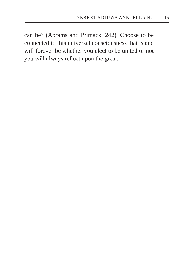can be" (Abrams and Primack, 242). Choose to be connected to this universal consciousness that is and will forever be whether you elect to be united or not you will always reflect upon the great.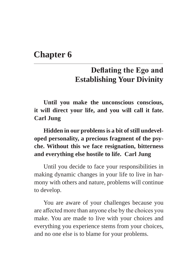## **Chapter 6**

## **Deflating the Ego and Establishing Your Divinity**

**Until you make the unconscious conscious, it will direct your life, and you will call it fate. Carl Jung**

**Hidden in our problems is a bit of still undeveloped personality, a precious fragment of the psyche. Without this we face resignation, bitterness and everything else hostile to life. Carl Jung**

Until you decide to face your responsibilities in making dynamic changes in your life to live in harmony with others and nature, problems will continue to develop.

You are aware of your challenges because you are affected more than anyone else by the choices you make. You are made to live with your choices and everything you experience stems from your choices, and no one else is to blame for your problems.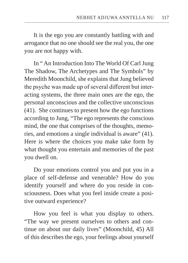It is the ego you are constantly battling with and arrogance that no one should see the real you, the one you are not happy with.

In " An Introduction Into The World Of Carl Jung The Shadow, The Archetypes and The Symbols" by Meredith Moonchild, she explains that Jung believed the psyche was made up of several different but interacting systems, the three main ones are the ego, the personal unconscious and the collective unconscious (41). She continues to present how the ego functions according to Jung, "The ego represents the conscious mind, the one that comprises of the thoughts, memories, and emotions a single individual is aware" (41). Here is where the choices you make take form by what thought you entertain and memories of the past you dwell on.

Do your emotions control you and put you in a place of self-defense and venerable? How do you identify yourself and where do you reside in consciousness. Does what you feel inside create a positive outward experience?

How you feel is what you display to others. "The way we present ourselves to others and continue on about our daily lives" (Moonchild, 45) All of this describes the ego, your feelings about yourself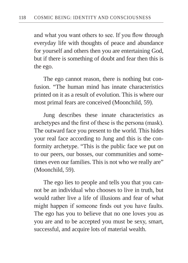and what you want others to see. If you flow through everyday life with thoughts of peace and abundance for yourself and others then you are entertaining God, but if there is something of doubt and fear then this is the ego.

The ego cannot reason, there is nothing but confusion. "The human mind has innate characteristics printed on it as a result of evolution. This is where our most primal fears are conceived (Moonchild, 59).

Jung describes these innate characteristics as archetypes and the first of these is the persona (mask). The outward face you present to the world. This hides your real face according to Jung and this is the conformity archetype. "This is the public face we put on to our peers, our bosses, our communities and sometimes even our families. This is not who we really are" (Moonchild, 59).

The ego lies to people and tells you that you cannot be an individual who chooses to live in truth, but would rather live a life of illusions and fear of what might happen if someone finds out you have faults. The ego has you to believe that no one loves you as you are and to be accepted you must be sexy, smart, successful, and acquire lots of material wealth.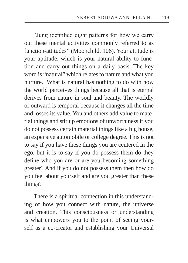"Jung identified eight patterns for how we carry out these mental activities commonly referred to as function-attitudes" (Moonchild, 106). Your attitude is your aptitude, which is your natural ability to function and carry out things on a daily basis. The key word is "natural" which relates to nature and what you nurture. What is natural has nothing to do with how the world perceives things because all that is eternal derives from nature in soul and beauty. The worldly or outward is temporal because it changes all the time and losses its value. You and others add value to material things and stir up emotions of unworthiness if you do not possess certain material things like a big house, an expensive automobile or college degree. This is not to say if you have these things you are centered in the ego, but it is to say if you do possess them do they define who you are or are you becoming something greater? And if you do not possess them then how do you feel about yourself and are you greater than these things?

There is a spiritual connection in this understanding of how you connect with nature, the universe and creation. This consciousness or understanding is what empowers you to the point of seeing yourself as a co-creator and establishing your Universal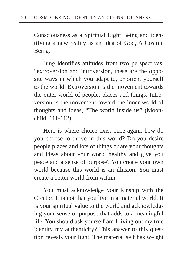Consciousness as a Spiritual Light Being and identifying a new reality as an Idea of God, A Cosmic Being.

Jung identifies attitudes from two perspectives, "extroversion and introversion, these are the opposite ways in which you adapt to, or orient yourself to the world. Extroversion is the movement towards the outer world of people, places and things. Introversion is the movement toward the inner world of thoughts and ideas, "The world inside us" (Moonchild, 111-112).

Here is where choice exist once again, how do you choose to thrive in this world? Do you desire people places and lots of things or are your thoughts and ideas about your world healthy and give you peace and a sense of purpose? You create your own world because this world is an illusion. You must create a better world from within.

You must acknowledge your kinship with the Creator. It is not that you live in a material world. It is your spiritual value to the world and acknowledging your sense of purpose that adds to a meaningful life. You should ask yourself am I living out my true identity my authenticity? This answer to this question reveals your light. The material self has weight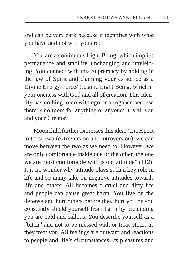and can be very dark because it identifies with what you have and not who you are.

You are a continuous Light Being, which implies permanence and stability, unchanging and unyielding. You connect with this Supremacy by abiding in the law of Spirit and claiming your existence as a Divine Energy Force/ Cosmic Light Being, which is your oneness with God and all of creation. This identity has nothing to do with ego or arrogance because there is no room for anything or anyone; it is all you and your Creator.

Moonchild further expresses this idea," In respect to these two (extroversion and introversion), we can move between the two as we need to. However, we are only comfortable inside one or the other, the one we are most comfortable with is our attitude" (112). It is no wonder why attitude plays such a key role in life and so many take on negative attitudes towards life and others. All becomes a cruel and dirty life and people can cause great harm. You live on the defense and hurt others before they hurt you or you constantly shield yourself from harm by pretending you are cold and callous. You describe yourself as a "bitch" and not to be messed with or treat others as they treat you. All feelings are outward and reactions to people and life's circumstances, its pleasures and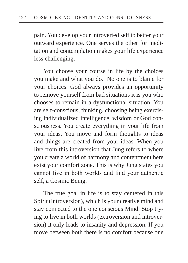pain. You develop your introverted self to better your outward experience. One serves the other for meditation and contemplation makes your life experience less challenging.

You choose your course in life by the choices you make and what you do. No one is to blame for your choices. God always provides an opportunity to remove yourself from bad situations it is you who chooses to remain in a dysfunctional situation. You are self-conscious, thinking, choosing being exercising individualized intelligence, wisdom or God consciousness. You create everything in your life from your ideas. You move and form thoughts to ideas and things are created from your ideas. When you live from this introversion that Jung refers to where you create a world of harmony and contentment here exist your comfort zone. This is why Jung states you cannot live in both worlds and find your authentic self, a Cosmic Being.

The true goal in life is to stay centered in this Spirit (introversion), which is your creative mind and stay connected to the one conscious Mind. Stop trying to live in both worlds (extroversion and introversion) it only leads to insanity and depression. If you move between both there is no comfort because one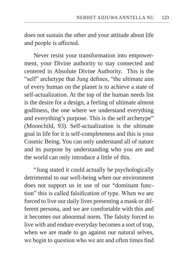does not sustain the other and your attitude about life and people is affected.

Never resist your transformation into empowerment, your Divine authority to stay connected and centered in Absolute Divine Authority. This is the "self" archetype that Jung defines, "the ultimate aim of every human on the planet is to achieve a state of self-actualization. At the top of the human needs list is the desire for a design, a feeling of ultimate almost godliness, the one where we understand everything and everything's purpose. This is the self archetype" (Moonchild, 93). Self-actualization is the ultimate goal in life for it is self-completeness and this is your Cosmic Being. You can only understand all of nature and its purpose by understanding who you are and the world can only introduce a little of this.

"Jung stated it could actually be psychologically detrimental to our well-being when our environment does not support us in use of our "dominant function" this is called falsification of type. When we are forced to live our daily lives presenting a mask or different persona, and we are comfortable with this and it becomes our abnormal norm. The falsity forced to live with and endure everyday becomes a sort of trap, when we are made to go against our natural selves, we begin to question who we are and often times find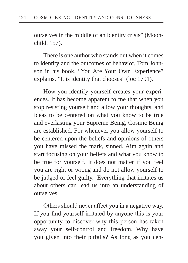ourselves in the middle of an identity crisis" (Moonchild, 157).

There is one author who stands out when it comes to identity and the outcomes of behavior, Tom Johnson in his book, "You Are Your Own Experience" explains, "It is identity that chooses" (loc 1791).

How you identify yourself creates your experiences. It has become apparent to me that when you stop resisting yourself and allow your thoughts, and ideas to be centered on what you know to be true and everlasting your Supreme Being, Cosmic Being are established. For whenever you allow yourself to be centered upon the beliefs and opinions of others you have missed the mark, sinned. Aim again and start focusing on your beliefs and what you know to be true for yourself. It does not matter if you feel you are right or wrong and do not allow yourself to be judged or feel guilty. Everything that irritates us about others can lead us into an understanding of ourselves.

Others should never affect you in a negative way. If you find yourself irritated by anyone this is your opportunity to discover why this person has taken away your self-control and freedom. Why have you given into their pitfalls? As long as you cen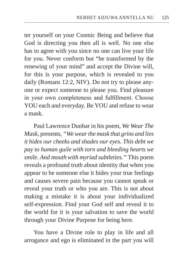ter yourself on your Cosmic Being and believe that God is directing you then all is well. No one else has to agree with you since no one can live your life for you. Never conform but "be transformed by the renewing of your mind" and accept the Divine will, for this is your purpose, which is revealed to you daily (Romans 12:2, NIV). Do not try to please anyone or expect someone to please you. Find pleasure in your own completeness and fulfillment. Choose YOU each and everyday. Be YOU and refuse to wear a mask.

Paul Lawrence Dunbar in his poem, *We Wear The Mask*, presents, *"We wear the mask that grins and lies it hides our cheeks and shades our eyes. This debt we pay to human guile with torn and bleeding hearts we smile. And mouth with myriad subtleties."* This poem reveals a profound truth about identity that when you appear to be someone else it hides your true feelings and causes severe pain because you cannot speak or reveal your truth or who you are. This is not about making a mistake it is about your individualized self-expression. Find your God self and reveal it to the world for it is your salvation to save the world through your Divine Purpose for being here.

You have a Divine role to play in life and all arrogance and ego is eliminated in the part you will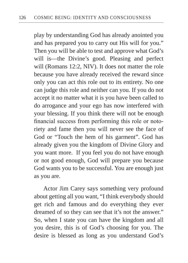play by understanding God has already anointed you and has prepared you to carry out His will for you." Then you will be able to test and approve what God's will is—the Divine's good. Pleasing and perfect will (Romans 12:2, NIV). It does not matter the role because you have already received the reward since only you can act this role out to its entirety. No one can judge this role and neither can you. If you do not accept it no matter what it is you have been called to do arrogance and your ego has now interfered with your blessing. If you think there will not be enough financial success from performing this role or notoriety and fame then you will never see the face of God or "Touch the hem of his garment". God has already given you the kingdom of Divine Glory and you want more. If you feel you do not have enough or not good enough, God will prepare you because God wants you to be successful. You are enough just as you are.

Actor Jim Carey says something very profound about getting all you want, "I think everybody should get rich and famous and do everything they ever dreamed of so they can see that it's not the answer." So, when I state you can have the kingdom and all you desire, this is of God's choosing for you. The desire is blessed as long as you understand God's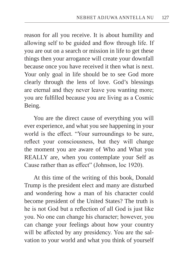reason for all you receive. It is about humility and allowing self to be guided and flow through life. If you are out on a search or mission in life to get these things then your arrogance will create your downfall because once you have received it then what is next. Your only goal in life should be to see God more clearly through the lens of love. God's blessings are eternal and they never leave you wanting more; you are fulfilled because you are living as a Cosmic Being.

You are the direct cause of everything you will ever experience, and what you see happening in your world is the effect. "Your surroundings to be sure, reflect your consciousness, but they will change the moment you are aware of Who and What you REALLY are, when you contemplate your Self as Cause rather than as effect" (Johnson, loc 1920).

At this time of the writing of this book, Donald Trump is the president elect and many are disturbed and wondering how a man of his character could become president of the United States? The truth is he is not God but a reflection of all God is just like you. No one can change his character; however, you can change your feelings about how your country will be affected by any presidency. You are the salvation to your world and what you think of yourself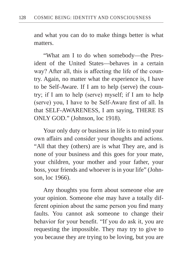and what you can do to make things better is what matters.

"What am I to do when somebody—the President of the United States—behaves in a certain way? After all, this is affecting the life of the country. Again, no matter what the experience is, I have to be Self-Aware. If I am to help (serve) the country; if I am to help (serve) myself; if I am to help (serve) you, I have to be Self-Aware first of all. In that SELF-AWARENESS, I am saying, THERE IS ONLY GOD." (Johnson, loc 1918).

Your only duty or business in life is to mind your own affairs and consider your thoughts and actions. "All that they (others) are is what They are, and is none of your business and this goes for your mate, your children, your mother and your father, your boss, your friends and whoever is in your life" (Johnson, loc 1966).

Any thoughts you form about someone else are your opinion. Someone else may have a totally different opinion about the same person you find many faults. You cannot ask someone to change their behavior for your benefit. "If you do ask it, you are requesting the impossible. They may try to give to you because they are trying to be loving, but you are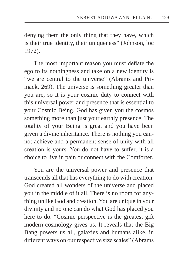denying them the only thing that they have, which is their true identity, their uniqueness" (Johnson, loc 1972).

The most important reason you must deflate the ego to its nothingness and take on a new identity is "we are central to the universe" (Abrams and Primack, 269). The universe is something greater than you are, so it is your cosmic duty to connect with this universal power and presence that is essential to your Cosmic Being. God has given you the cosmos something more than just your earthly presence. The totality of your Being is great and you have been given a divine inheritance. There is nothing you cannot achieve and a permanent sense of unity with all creation is yours. You do not have to suffer, it is a choice to live in pain or connect with the Comforter.

You are the universal power and presence that transcends all that has everything to do with creation. God created all wonders of the universe and placed you in the middle of it all. There is no room for anything unlike God and creation. You are unique in your divinity and no one can do what God has placed you here to do. "Cosmic perspective is the greatest gift modern cosmology gives us. It reveals that the Big Bang powers us all, galaxies and humans alike, in different ways on our respective size scales" (Abrams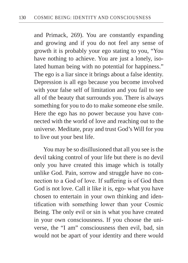and Primack, 269). You are constantly expanding and growing and if you do not feel any sense of growth it is probably your ego stating to you, "You have nothing to achieve. You are just a lonely, isolated human being with no potential for happiness." The ego is a liar since it brings about a false identity. Depression is all ego because you become involved with your false self of limitation and you fail to see all of the beauty that surrounds you. There is always something for you to do to make someone else smile. Here the ego has no power because you have connected with the world of love and reaching out to the universe. Meditate, pray and trust God's Will for you to live out your best life.

You may be so disillusioned that all you see is the devil taking control of your life but there is no devil only you have created this image which is totally unlike God. Pain, sorrow and struggle have no connection to a God of love. If suffering is of God then God is not love. Call it like it is, ego- what you have chosen to entertain in your own thinking and identification with something lower than your Cosmic Being. The only evil or sin is what you have created in your own consciousness. If you choose the universe, the "I am" consciousness then evil, bad, sin would not be apart of your identity and there would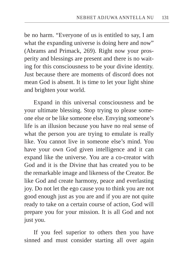be no harm. "Everyone of us is entitled to say, I am what the expanding universe is doing here and now" (Abrams and Primack, 269). Right now your prosperity and blessings are present and there is no waiting for this consciousness to be your divine identity. Just because there are moments of discord does not mean God is absent. It is time to let your light shine and brighten your world.

Expand in this universal consciousness and be your ultimate blessing. Stop trying to please someone else or be like someone else. Envying someone's life is an illusion because you have no real sense of what the person you are trying to emulate is really like. You cannot live in someone else's mind. You have your own God given intelligence and it can expand like the universe. You are a co-creator with God and it is the Divine that has created you to be the remarkable image and likeness of the Creator. Be like God and create harmony, peace and everlasting joy. Do not let the ego cause you to think you are not good enough just as you are and if you are not quite ready to take on a certain course of action, God will prepare you for your mission. It is all God and not just you.

If you feel superior to others then you have sinned and must consider starting all over again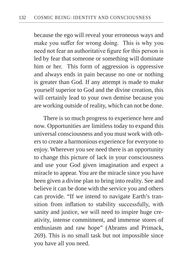because the ego will reveal your erroneous ways and make you suffer for wrong doing. This is why you need not fear an authoritative figure for this person is led by fear that someone or something will dominate him or her. This form of aggression is oppressive and always ends in pain because no one or nothing is greater than God. If any attempt is made to make yourself superior to God and the divine creation, this will certainly lead to your own demise because you are working outside of reality, which can not be done.

There is so much progress to experience here and now. Opportunities are limitless today to expand this universal consciousness and you must work with others to create a harmonious experience for everyone to enjoy. Wherever you see need there is an opportunity to change this picture of lack in your consciousness and use your God given imagination and expect a miracle to appear. You are the miracle since you have been given a divine plan to bring into reality. See and believe it can be done with the service you and others can provide. "If we intend to navigate Earth's transition from inflation to stability successfully, with sanity and justice, we will need to inspire huge creativity, intense commitment, and immense stores of enthusiasm and raw hope" (Abrams and Primack, 269). This is no small task but not impossible since you have all you need.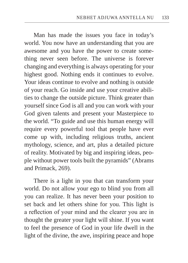Man has made the issues you face in today's world. You now have an understanding that you are awesome and you have the power to create something never seen before. The universe is forever changing and everything is always operating for your highest good. Nothing ends it continues to evolve. Your ideas continue to evolve and nothing is outside of your reach. Go inside and use your creative abilities to change the outside picture. Think greater than yourself since God is all and you can work with your God given talents and present your Masterpiece to the world. "To guide and use this human energy will require every powerful tool that people have ever come up with, including religious truths, ancient mythology, science, and art, plus a detailed picture of reality. Motivated by big and inspiring ideas, people without power tools built the pyramids" (Abrams and Primack, 269).

There is a light in you that can transform your world. Do not allow your ego to blind you from all you can realize. It has never been your position to set back and let others shine for you. This light is a reflection of your mind and the clearer you are in thought the greater your light will shine. If you want to feel the presence of God in your life dwell in the light of the divine, the awe, inspiring peace and hope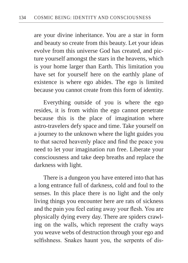are your divine inheritance. You are a star in form and beauty so create from this beauty. Let your ideas evolve from this universe God has created, and picture yourself amongst the stars in the heavens, which is your home larger than Earth. This limitation you have set for yourself here on the earthly plane of existence is where ego abides. The ego is limited because you cannot create from this form of identity.

Everything outside of you is where the ego resides, it is from within the ego cannot penetrate because this is the place of imagination where astro-travelers defy space and time. Take yourself on a journey to the unknown where the light guides you to that sacred heavenly place and find the peace you need to let your imagination run free. Liberate your consciousness and take deep breaths and replace the darkness with light.

There is a dungeon you have entered into that has a long entrance full of darkness, cold and foul to the senses. In this place there is no light and the only living things you encounter here are rats of sickness and the pain you feel eating away your flesh. You are physically dying every day. There are spiders crawling on the walls, which represent the crafty ways you weave webs of destruction through your ego and selfishness. Snakes haunt you, the serpents of dis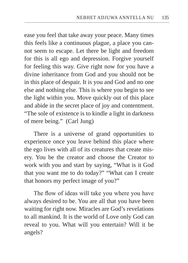ease you feel that take away your peace. Many times this feels like a continuous plague, a place you cannot seem to escape. Let there be light and freedom for this is all ego and depression. Forgive yourself for feeling this way. Give right now for you have a divine inheritance from God and you should not be in this place of despair. It is you and God and no one else and nothing else. This is where you begin to see the light within you. Move quickly out of this place and abide in the secret place of joy and contentment. "The sole of existence is to kindle a light in darkness of mere being." (Carl Jung)

There is a universe of grand opportunities to experience once you leave behind this place where the ego lives with all of its creatures that create misery. You be the creator and choose the Creator to work with you and start by saying, "What is it God that you want me to do today?" "What can I create that honors my perfect image of you?"

The flow of ideas will take you where you have always desired to be. You are all that you have been waiting for right now. Miracles are God's revelations to all mankind. It is the world of Love only God can reveal to you. What will you entertain? Will it be angels?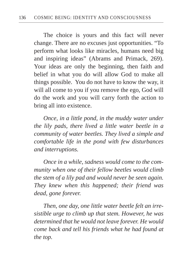The choice is yours and this fact will never change. There are no excuses just opportunities. "To perform what looks like miracles, humans need big and inspiring ideas" (Abrams and Primack, 269). Your ideas are only the beginning, then faith and belief in what you do will allow God to make all things possible. You do not have to know the way, it will all come to you if you remove the ego, God will do the work and you will carry forth the action to bring all into existence.

*Once, in a little pond, in the muddy water under the lily pads, there lived a little water beetle in a community of water beetles. They lived a simple and comfortable life in the pond with few disturbances and interruptions.*

*Once in a while, sadness would come to the community when one of their fellow beetles would climb the stem of a lily pad and would never be seen again. They knew when this happened; their friend was dead, gone forever.*

*Then, one day, one little water beetle felt an irresistible urge to climb up that stem. However, he was determined that he would not leave forever. He would come back and tell his friends what he had found at the top.*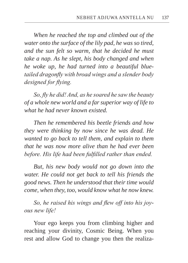*When he reached the top and climbed out of the water onto the surface of the lily pad, he was so tired, and the sun felt so warm, that he decided he must take a nap. As he slept, his body changed and when he woke up, he had turned into a beautiful bluetailed dragonfly with broad wings and a slender body designed for flying.*

*So, fly he did! And, as he soared he saw the beauty of a whole new world and a far superior way of life to what he had never known existed.*

*Then he remembered his beetle friends and how they were thinking by now since he was dead. He wanted to go back to tell them, and explain to them that he was now more alive than he had ever been before. His life had been fulfilled rather than ended.*

*But, his new body would not go down into the water. He could not get back to tell his friends the good news. Then he understood that their time would come, when they, too, would know what he now knew.*

*So, he raised his wings and flew off into his joyous new life!*

Your ego keeps you from climbing higher and reaching your divinity, Cosmic Being. When you rest and allow God to change you then the realiza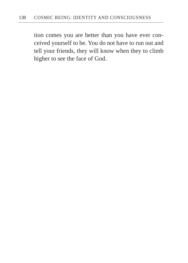tion comes you are better than you have ever conceived yourself to be. You do not have to run out and tell your friends, they will know when they to climb higher to see the face of God.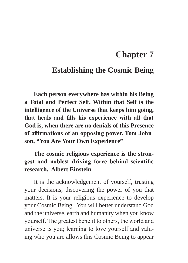## **Chapter 7**

## **Establishing the Cosmic Being**

**Each person everywhere has within his Being a Total and Perfect Self. Within that Self is the intelligence of the Universe that keeps him going, that heals and fills his experience with all that God is, when there are no denials of this Presence of affirmations of an opposing power. Tom Johnson, "You Are Your Own Experience"**

## **The cosmic religious experience is the strongest and noblest driving force behind scientific research. Albert Einstein**

It is the acknowledgement of yourself, trusting your decisions, discovering the power of you that matters. It is your religious experience to develop your Cosmic Being. You will better understand God and the universe, earth and humanity when you know yourself. The greatest benefit to others, the world and universe is you; learning to love yourself and valuing who you are allows this Cosmic Being to appear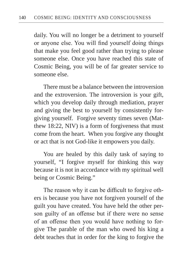daily. You will no longer be a detriment to yourself or anyone else. You will find yourself doing things that make you feel good rather than trying to please someone else. Once you have reached this state of Cosmic Being, you will be of far greater service to someone else.

There must be a balance between the introversion and the extroversion. The introversion is your gift, which you develop daily through mediation, prayer and giving the best to yourself by consistently forgiving yourself. Forgive seventy times seven (Matthew 18:22, NIV) is a form of forgiveness that must come from the heart. When you forgive any thought or act that is not God-like it empowers you daily.

You are healed by this daily task of saying to yourself, "I forgive myself for thinking this way because it is not in accordance with my spiritual well being or Cosmic Being."

The reason why it can be difficult to forgive others is because you have not forgiven yourself of the guilt you have created. You have held the other person guilty of an offense but if there were no sense of an offense then you would have nothing to forgive The parable of the man who owed his king a debt teaches that in order for the king to forgive the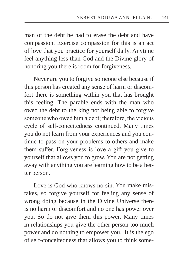man of the debt he had to erase the debt and have compassion. Exercise compassion for this is an act of love that you practice for yourself daily. Anytime feel anything less than God and the Divine glory of honoring you there is room for forgiveness.

Never are you to forgive someone else because if this person has created any sense of harm or discomfort there is something within you that has brought this feeling. The parable ends with the man who owed the debt to the king not being able to forgive someone who owed him a debt; therefore, the vicious cycle of self-conceitedness continued. Many times you do not learn from your experiences and you continue to pass on your problems to others and make them suffer. Forgiveness is love a gift you give to yourself that allows you to grow. You are not getting away with anything you are learning how to be a better person.

Love is God who knows no sin. You make mistakes, so forgive yourself for feeling any sense of wrong doing because in the Divine Universe there is no harm or discomfort and no one has power over you. So do not give them this power. Many times in relationships you give the other person too much power and do nothing to empower you. It is the ego of self-conceitedness that allows you to think some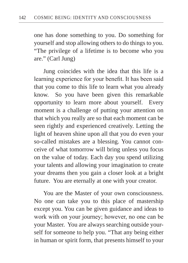one has done something to you. Do something for yourself and stop allowing others to do things to you. "The privilege of a lifetime is to become who you are." (Carl Jung)

Jung coincides with the idea that this life is a learning experience for your benefit. It has been said that you come to this life to learn what you already know. So you have been given this remarkable opportunity to learn more about yourself. Every moment is a challenge of putting your attention on that which you really are so that each moment can be seen rightly and experienced creatively. Letting the light of heaven shine upon all that you do even your so-called mistakes are a blessing. You cannot conceive of what tomorrow will bring unless you focus on the value of today. Each day you spend utilizing your talents and allowing your imagination to create your dreams then you gain a closer look at a bright future. You are eternally at one with your creator.

You are the Master of your own consciousness. No one can take you to this place of mastership except you. You can be given guidance and ideas to work with on your journey; however, no one can be your Master. You are always searching outside yourself for someone to help you. "That any being either in human or spirit form, that presents himself to your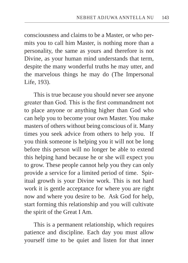consciousness and claims to be a Master, or who permits you to call him Master, is nothing more than a personality, the same as yours and therefore is not Divine, as your human mind understands that term, despite the many wonderful truths he may utter, and the marvelous things he may do (The Impersonal Life, 193).

This is true because you should never see anyone greater than God. This is the first commandment not to place anyone or anything higher than God who can help you to become your own Master. You make masters of others without being conscious of it. Many times you seek advice from others to help you. If you think someone is helping you it will not be long before this person will no longer be able to extend this helping hand because he or she will expect you to grow. These people cannot help you they can only provide a service for a limited period of time. Spiritual growth is your Divine work. This is not hard work it is gentle acceptance for where you are right now and where you desire to be. Ask God for help, start forming this relationship and you will cultivate the spirit of the Great I Am.

This is a permanent relationship, which requires patience and discipline. Each day you must allow yourself time to be quiet and listen for that inner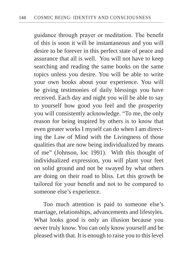guidance through prayer or meditation. The benefit of this is soon it will be instantaneous and you will desire to be forever in this perfect state of peace and assurance that all is well. You will not have to keep searching and reading the same books on the same topics unless you desire. You will be able to write your own books about your experience. You will be giving testimonies of daily blessings you have received. Each day and night you will be able to say to yourself how good you feel and the prosperity you will consistently acknowledge. "To me, the only reason for being inspired by others is to know that even greater works I myself can do when I am directing the Law of Mind with the Livingness of those qualities that are now being individualized by means of me" (Johnson, loc 1991). With this thought of individualized expression, you will plant your feet on solid ground and not be swayed by what others are doing on their road to bliss. Let this growth be tailored for your benefit and not to be compared to someone else's experience.

Too much attention is paid to someone else's marriage, relationships, advancements and lifestyles. What looks good is only an illusion because you never truly know. You can only know yourself and be pleased with that. It is enough to raise you to this level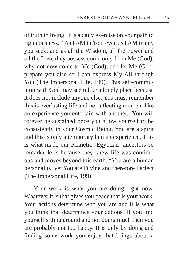of truth in living. It is a daily exercise on your path to righteousness. " As I AM in You, even as I AM in any you seek, and as all the Wisdom, all the Power and all the Love they possess come only from Me (God), why not now come to Me (God), and let Me (God) prepare you also so I can express My All through You (The Impersonal Life, 199). This self-communion with God may seem like a lonely place because it does not include anyone else. You must remember this is everlasting life and not a fleeting moment like an experience you entertain with another. You will forever be sustained once you allow yourself to be consistently in your Cosmic Being. You are a spirit and this is only a temporary human experience. This is what made our Kemetic (Egyptian) ancestors so remarkable is because they knew life was continuous and moves beyond this earth. "You are a human personality, yet You are Divine and therefore Perfect (The Impersonal Life, 199).

Your work is what you are doing right now. Whatever it is that gives you peace that is your work. Your actions determine who you are and it is what you think that determines your actions. If you find yourself sitting around and not doing much then you are probably not too happy. It is only by doing and finding some work you enjoy that brings about a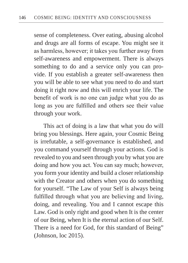sense of completeness. Over eating, abusing alcohol and drugs are all forms of escape. You might see it as harmless, however; it takes you further away from self-awareness and empowerment. There is always something to do and a service only you can provide. If you establish a greater self-awareness then you will be able to see what you need to do and start doing it right now and this will enrich your life. The benefit of work is no one can judge what you do as long as you are fulfilled and others see their value through your work.

This act of doing is a law that what you do will bring you blessings. Here again, your Cosmic Being is irrefutable, a self-governance is established, and you command yourself through your actions. God is revealed to you and seen through you by what you are doing and how you act. You can say much; however, you form your identity and build a closer relationship with the Creator and others when you do something for yourself. "The Law of your Self is always being fulfilled through what you are believing and living, doing, and revealing. You and I cannot escape this Law. God is only right and good when It is the center of our Being, when It is the eternal action of our Self. There is a need for God, for this standard of Being" (Johnson, loc 2015).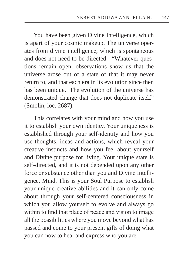You have been given Divine Intelligence, which is apart of your cosmic makeup. The universe operates from divine intelligence, which is spontaneous and does not need to be directed. "Whatever questions remain open, observations show us that the universe arose out of a state of that it may never return to, and that each era in its evolution since then has been unique. The evolution of the universe has demonstrated change that does not duplicate itself" (Smolin, loc. 2687).

This correlates with your mind and how you use it to establish your own identity. Your uniqueness is established through your self-identity and how you use thoughts, ideas and actions, which reveal your creative instincts and how you feel about yourself and Divine purpose for living. Your unique state is self-directed, and it is not depended upon any other force or substance other than you and Divine Intelligence, Mind. This is your Soul Purpose to establish your unique creative abilities and it can only come about through your self-centered consciousness in which you allow yourself to evolve and always go within to find that place of peace and vision to image all the possibilities where you move beyond what has passed and come to your present gifts of doing what you can now to heal and express who you are.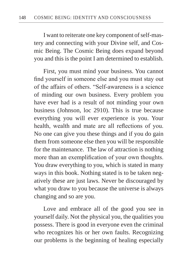I want to reiterate one key component of self-mastery and connecting with your Divine self, and Cosmic Being. The Cosmic Being does expand beyond you and this is the point I am determined to establish.

First, you must mind your business. You cannot find yourself in someone else and you must stay out of the affairs of others. "Self-awareness is a science of minding our own business. Every problem you have ever had is a result of not minding your own business (Johnson, loc 2910). This is true because everything you will ever experience is you. Your health, wealth and mate are all reflections of you. No one can give you these things and if you do gain them from someone else then you will be responsible for the maintenance. The law of attraction is nothing more than an exemplification of your own thoughts. You draw everything to you, which is stated in many ways in this book. Nothing stated is to be taken negatively these are just laws. Never be discouraged by what you draw to you because the universe is always changing and so are you.

Love and embrace all of the good you see in yourself daily. Not the physical you, the qualities you possess. There is good in everyone even the criminal who recognizes his or her own faults. Recognizing our problems is the beginning of healing especially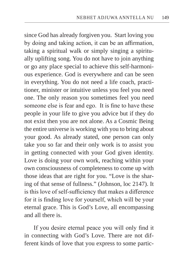since God has already forgiven you. Start loving you by doing and taking action, it can be an affirmation, taking a spiritual walk or simply singing a spiritually uplifting song. You do not have to join anything or go any place special to achieve this self-harmonious experience. God is everywhere and can be seen in everything. You do not need a life coach, practitioner, minister or intuitive unless you feel you need one. The only reason you sometimes feel you need someone else is fear and ego. It is fine to have these people in your life to give you advice but if they do not exist then you are not alone. As a Cosmic Being the entire universe is working with you to bring about your good. As already stated, one person can only take you so far and their only work is to assist you in getting connected with your God given identity. Love is doing your own work, reaching within your own consciousness of completeness to come up with those ideas that are right for you. "Love is the sharing of that sense of fullness." (Johnson, loc 2147). It is this love of self-sufficiency that makes a difference for it is finding love for yourself, which will be your eternal grace. This is God's Love, all encompassing and all there is.

If you desire eternal peace you will only find it in connecting with God's Love. There are not different kinds of love that you express to some partic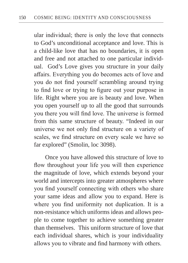ular individual; there is only the love that connects to God's unconditional acceptance and love. This is a child-like love that has no boundaries, it is open and free and not attached to one particular individual. God's Love gives you structure in your daily affairs. Everything you do becomes acts of love and you do not find yourself scrambling around trying to find love or trying to figure out your purpose in life. Right where you are is beauty and love. When you open yourself up to all the good that surrounds you there you will find love. The universe is formed from this same structure of beauty. "Indeed in our universe we not only find structure on a variety of scales, we find structure on every scale we have so far explored" (Smolin, loc 3098).

 Once you have allowed this structure of love to flow throughout your life you will then experience the magnitude of love, which extends beyond your world and intercepts into greater atmospheres where you find yourself connecting with others who share your same ideas and allow you to expand. Here is where you find uniformity not duplication. It is a non-resistance which uniforms ideas and allows people to come together to achieve something greater than themselves. This uniform structure of love that each individual shares, which is your individuality allows you to vibrate and find harmony with others.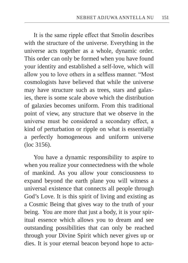It is the same ripple effect that Smolin describes with the structure of the universe. Everything in the universe acts together as a whole, dynamic order. This order can only be formed when you have found your identity and established a self-love, which will allow you to love others in a selfless manner. "Most cosmologists have believed that while the universe may have structure such as trees, stars and galaxies, there is some scale above which the distribution of galaxies becomes uniform. From this traditional point of view, any structure that we observe in the universe must be considered a secondary effect, a kind of perturbation or ripple on what is essentially a perfectly homogeneous and uniform universe (loc 3156).

You have a dynamic responsibility to aspire to when you realize your connectedness with the whole of mankind. As you allow your consciousness to expand beyond the earth plane you will witness a universal existence that connects all people through God's Love. It is this spirit of living and existing as a Cosmic Being that gives way to the truth of your being. You are more that just a body, it is your spiritual essence which allows you to dream and see outstanding possibilities that can only be reached through your Divine Spirit which never gives up or dies. It is your eternal beacon beyond hope to actu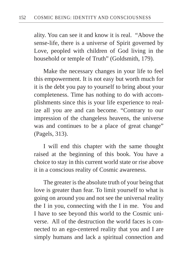ality. You can see it and know it is real. "Above the sense-life, there is a universe of Spirit governed by Love, peopled with children of God living in the household or temple of Truth" (Goldsmith, 179).

Make the necessary changes in your life to feel this empowerment. It is not easy but worth much for it is the debt you pay to yourself to bring about your completeness. Time has nothing to do with accomplishments since this is your life experience to realize all you are and can become. "Contrary to our impression of the changeless heavens, the universe was and continues to be a place of great change" (Pagels, 313).

I will end this chapter with the same thought raised at the beginning of this book. You have a choice to stay in this current world state or rise above it in a conscious reality of Cosmic awareness.

The greater is the absolute truth of your being that love is greater than fear. To limit yourself to what is going on around you and not see the universal reality the I in you, connecting with the I in me. You and I have to see beyond this world to the Cosmic universe. All of the destruction the world faces is connected to an ego-centered reality that you and I are simply humans and lack a spiritual connection and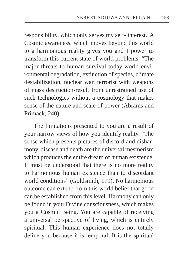responsibility, which only serves my self- interest. A Cosmic awareness, which moves beyond this world to a harmonious reality gives you and I power to transform this current state of world problems. "The major threats to human survival today-world environmental degradation, extinction of species, climate destabilization, nuclear war, terrorist with weapons of mass destruction-result from unrestrained use of such technologies without a cosmology that makes sense of the nature and scale of power (Abrams and Primack, 240).

The limitations presented to you are a result of your narrow views of how you identify reality. "The sense which presents pictures of discord and disharmony, disease and death are the universal mesmerism which produces the entire dream of human existence. It must be understood that there is no more reality to harmonious human existence than to discordant world conditions" (Goldsmith, 179). No harmonious outcome can extend from this world belief that good can be established from this level. Harmony can only be found in your Divine consciousness, which makes you a Cosmic Being. You are capable of receiving a universal perspective of living, which is entirely spiritual. This human experience does not totally define you because it is temporal. It is the spiritual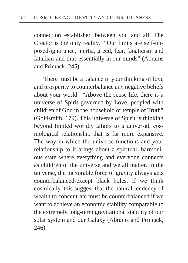connection established between you and all. The Creator is the only reality. "Our limits are self-imposed-ignorance, inertia, greed, fear, fanaticism and fatalism-and thus essentially in our minds" (Abrams and Primack, 245).

There must be a balance in your thinking of love and prosperity to counterbalance any negative beliefs about your world. "Above the sense-life, there is a universe of Spirit governed by Love, peopled with children of God in the household or temple of Truth" (Goldsmith, 179). This universe of Spirit is thinking beyond limited worldly affairs to a universal, cosmological relationship that is far more expansive. The way in which the universe functions and your relationship to it brings about a spiritual, harmonious state where everything and everyone connects as children of the universe and we all matter. In the universe, the inexorable force of gravity always gets counterbalanced-except black holes. If we think cosmically, this suggest that the natural tendency of wealth to concentrate must be counterbalanced if we want to achieve an economic stability comparable to the extremely long-term gravitational stability of our solar system and our Galaxy (Abrams and Primack, 246).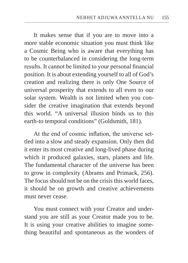It makes sense that if you are to move into a more stable economic situation you must think like a Cosmic Being who is aware that everything has to be counterbalanced in considering the long-term results. It cannot be limited to your personal financial position. It is about extending yourself to all of God's creation and realizing there is only One Source of universal prosperity that extends to all even to our solar system. Wealth is not limited when you consider the creative imagination that extends beyond this world. "A universal illusion binds us to this earth-to temporal conditions" (Goldsmith, 181).

At the end of cosmic inflation, the universe settled into a slow and steady expansion. Only then did it enter its most creative and long-lived phase during which it produced galaxies, stars, planets and life. The fundamental character of the universe has been to grow in complexity (Abrams and Primack, 256). The focus should not be on the crisis this world faces, it should be on growth and creative achievements must never cease.

You must connect with your Creator and understand you are still as your Creator made you to be. It is using your creative abilities to imagine something beautiful and spontaneous as the wonders of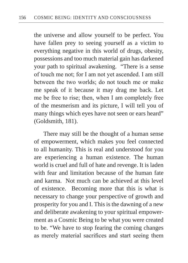the universe and allow yourself to be perfect. You have fallen prey to seeing yourself as a victim to everything negative in this world of drugs, obesity, possessions and too much material gain has darkened your path to spiritual awakening. "There is a sense of touch me not; for I am not yet ascended. I am still between the two worlds; do not touch me or make me speak of it because it may drag me back. Let me be free to rise; then, when I am completely free of the mesmerism and its picture, I will tell you of many things which eyes have not seen or ears heard" (Goldsmith, 181).

There may still be the thought of a human sense of empowerment, which makes you feel connected to all humanity. This is real and understood for you are experiencing a human existence. The human world is cruel and full of hate and revenge. It is laden with fear and limitation because of the human fate and karma. Not much can be achieved at this level of existence. Becoming more that this is what is necessary to change your perspective of growth and prosperity for you and I. This is the dawning of a new and deliberate awakening to your spiritual empowerment as a Cosmic Being to be what you were created to be. "We have to stop fearing the coming changes as merely material sacrifices and start seeing them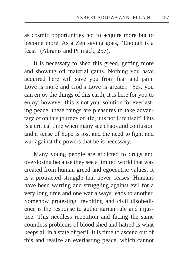as cosmic opportunities not to acquire more but to become more. As a Zen saying goes, "Enough is a feast" (Abrams and Primack, 257).

It is necessary to shed this greed, getting more and showing off material gains. Nothing you have acquired here will save you from fear and pain. Love is more and God's Love is greater. Yes, you can enjoy the things of this earth, it is here for you to enjoy; however, this is not your solution for everlasting peace, these things are pleasures to take advantage of on this journey of life; it is not Life itself. This is a critical time when many see chaos and confusion and a sense of hope is lost and the need to fight and war against the powers that be is necessary.

Many young people are addicted to drugs and overdosing because they see a limited world that was created from human greed and egocentric values. It is a protracted struggle that never ceases. Humans have been warring and struggling against evil for a very long time and one war always leads to another. Somehow protesting, revolting and civil disobedience is the response to authoritarian rule and injustice. This needless repetition and facing the same countless problems of blood shed and hatred is what keeps all in a state of peril. It is time to ascend out of this and realize an everlasting peace, which cannot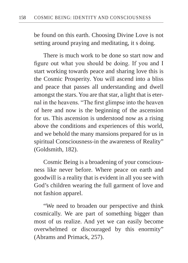be found on this earth. Choosing Divine Love is not setting around praying and meditating, it s doing.

There is much work to be done so start now and figure out what you should be doing. If you and I start working towards peace and sharing love this is the Cosmic Prosperity. You will ascend into a bliss and peace that passes all understanding and dwell amongst the stars. You are that star, a light that is eternal in the heavens. "The first glimpse into the heaven of here and now is the beginning of the ascension for us. This ascension is understood now as a rising above the conditions and experiences of this world, and we behold the many mansions prepared for us in spiritual Consciousness-in the awareness of Reality" (Goldsmith, 182).

Cosmic Being is a broadening of your consciousness like never before. Where peace on earth and goodwill is a reality that is evident in all you see with God's children wearing the full garment of love and not fashion apparel.

"We need to broaden our perspective and think cosmically. We are part of something bigger than most of us realize. And yet we can easily become overwhelmed or discouraged by this enormity" (Abrams and Primack, 257).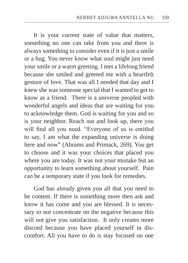It is your current state of value that matters, something no one can take from you and there is always something to consider even if it is just a smile or a hug. You never know what soul might just need your smile or a warm greeting. I met a lifelong friend because she smiled and greeted me with a heartfelt gesture of love. That was all I needed that day and I knew she was someone special that I wanted to get to know as a friend. There is a universe peopled with wonderful angels and ideas that are waiting for you to acknowledge them. God is waiting for you and so is your neighbor. Reach out and look up, there you will find all you need. "Everyone of us is entitled to say, I am what the expanding universe is doing here and now" (Abrams and Primack, 269). You get to choose and it was your choices that placed you where you are today. It was not your mistake but an opportunity to learn something about yourself. Pain can be a temporary state if you look for remedies.

God has already given you all that you need to be content. If there is something more then ask and know it has come and you are blessed. It is necessary to not concentrate on the negative because this will not give you satisfaction. It only creates more discord because you have placed yourself in discomfort. All you have to do is stay focused on one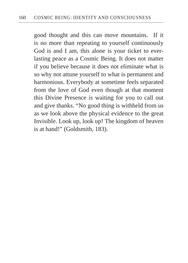good thought and this can move mountains. If it is no more than repeating to yourself continuously God is and I am, this alone is your ticket to everlasting peace as a Cosmic Being. It does not matter if you believe because it does not eliminate what is so why not attune yourself to what is permanent and harmonious. Everybody at sometime feels separated from the love of God even though at that moment this Divine Presence is waiting for you to call out and give thanks. "No good thing is withheld from us as we look above the physical evidence to the great Invisible. Look up, look up! The kingdom of heaven is at hand!" (Goldsmith, 183).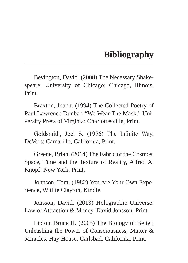## **Bibliography**

Bevington, David. (2008) The Necessary Shakespeare, University of Chicago: Chicago, Illinois, Print.

Braxton, Joann. (1994) The Collected Poetry of Paul Lawrence Dunbar, "We Wear The Mask," University Press of Virginia: Charlottesville, Print.

Goldsmith, Joel S. (1956) The Infinite Way, DeVors: Camarillo, California, Print.

Greene, Brian, (2014) The Fabric of the Cosmos, Space, Time and the Texture of Reality, Alfred A. Knopf: New York, Print.

Johnson, Tom. (1982) You Are Your Own Experience, Wiillie Clayton, Kindle.

Jonsson, David. (2013) Holographic Universe: Law of Attraction & Money, David Jonsson, Print.

Lipton, Bruce H. (2005) The Biology of Belief, Unleashing the Power of Consciousness, Matter & Miracles. Hay House: Carlsbad, California, Print.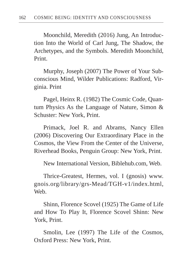Moonchild, Meredith (2016) Jung, An Introduction Into the World of Carl Jung, The Shadow, the Archetypes, and the Symbols. Meredith Moonchild, Print.

Murphy, Joseph (2007) The Power of Your Subconscious Mind, Wilder Publications: Radford, Virginia. Print

Pagel, Heinx R. (1982) The Cosmic Code, Quantum Physics As the Language of Nature, Simon & Schuster: New York, Print.

Primack, Joel R. and Abrams, Nancy Ellen (2006) Discovering Our Extraordinary Place in the Cosmos, the View From the Center of the Universe, Riverhead Books, Penguin Group: New York, Print.

New International Version, Biblehub.com, Web.

Thrice-Greatest, Hermes, vol. I (gnosis) www. gnois.org/library/grs-Mead/TGH-v1/index.html, Web.

Shinn, Florence Scovel (1925) The Game of Life and How To Play It, Florence Scovel Shinn: New York, Print.

Smolin, Lee (1997) The Life of the Cosmos, Oxford Press: New York, Print.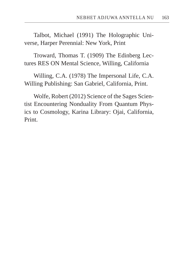Talbot, Michael (1991) The Holographic Universe, Harper Perennial: New York, Print

Troward, Thomas T. (1909) The Edinberg Lectures RES ON Mental Science, Willing, California

Willing, C.A. (1978) The Impersonal Life, C.A. Willing Publishing: San Gabriel, California, Print.

Wolfe, Robert (2012) Science of the Sages Scientist Encountering Nonduality From Quantum Physics to Cosmology, Karina Library: Ojai, California, Print.